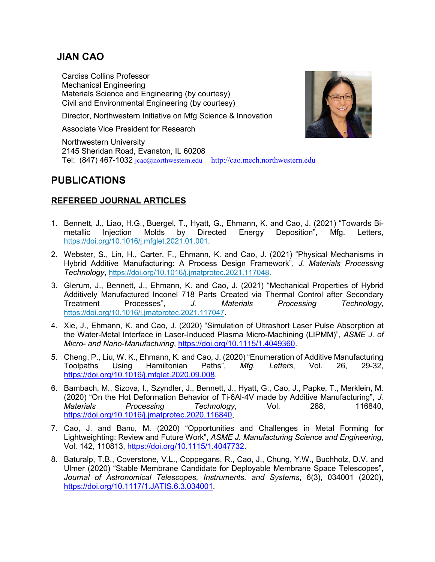# **JIAN CAO**

Cardiss Collins Professor Mechanical Engineering Materials Science and Engineering (by courtesy) Civil and Environmental Engineering (by courtesy)

Director, Northwestern Initiative on Mfg Science & Innovation

Associate Vice President for Research

Northwestern University 2145 Sheridan Road, Evanston, IL 60208 Tel: (847) 467-1032 [jcao@northwestern.edu](mailto:jcao@nwu.edu) [http://cao.mech.northwestern.edu](http://cao.mech.northwestern.edu/)

# **PUBLICATIONS**

## **REFEREED JOURNAL ARTICLES**

- 1. Bennett, J., Liao, H.G., Buergel, T., Hyatt, G., Ehmann, K. and Cao, J. (2021) "Towards Bimetallic Injection Molds by Directed Energy Deposition", Mfg. Letters, [https://doi.org/10.1016/j.mfglet.2021.01.001.](https://urldefense.com/v3/__https:/doi.org/10.1016/j.mfglet.2021.01.001__;!!Dq0X2DkFhyF93HkjWTBQKhk!FZQr4ABfHXCem56GoGryCJd0xVstpzudbMVO5P3MuHKn-UjEbp-S4d_u9at1AHMtghg$)
- 2. Webster, S., Lin, H., Carter, F., Ehmann, K. and Cao, J. (2021) "Physical Mechanisms in Hybrid Additive Manufacturing: A Process Design Framework", *J. Materials Processing Technology*, [https://doi.org/10.1016/j.jmatprotec.2021.117048.](https://doi.org/10.1016/j.jmatprotec.2021.117048)
- 3. Glerum, J., Bennett, J., Ehmann, K. and Cao, J. (2021) "Mechanical Properties of Hybrid Additively Manufactured Inconel 718 Parts Created via Thermal Control after Secondary Treatment Processes", *J. Materials Processing Technology*, [https://doi.org/10.1016/j.jmatprotec.2021.117047.](https://doi.org/10.1016/j.jmatprotec.2021.117047)
- 4. Xie, J., Ehmann, K. and Cao, J. (2020) "Simulation of Ultrashort Laser Pulse Absorption at the Water-Metal Interface in Laser-Induced Plasma Micro-Machining (LIPMM)", *ASME J. of Micro- and Nano-Manufacturing*, [https://doi.org/10.1115/1.4049360.](https://doi.org/10.1115/1.4049360)
- 5. Cheng, P., Liu, W. K., Ehmann, K. and Cao, J. (2020) "Enumeration of Additive Manufacturing Toolpaths Using Hamiltonian Paths", *Mfg. Letters*, Vol. 26, 29-32, [https://doi.org/10.1016/j.mfglet.2020.09.008.](https://doi.org/10.1016/j.mfglet.2020.09.008)
- 6. Bambach, M., Sizova, I., Szyndler, J., Bennett, J., Hyatt, G., Cao, J., Papke, T., Merklein, M. (2020) "On the Hot Deformation Behavior of Ti-6Al-4V made by Additive Manufacturing", *J. Materials Processing Technology*, Vol. 288, 116840, [https://doi.org/10.1016/j.jmatprotec.2020.116840.](https://doi.org/10.1016/j.jmatprotec.2020.116840)
- 7. Cao, J. and Banu, M. (2020) "Opportunities and Challenges in Metal Forming for Lightweighting: Review and Future Work", *ASME J. Manufacturing Science and Engineering*, Vol. 142, 110813, [https://doi.org/10.1115/1.4047732.](https://doi.org/10.1115/1.4047732)
- 8. Baturalp, T.B., Coverstone, V.L., Coppegans, R., Cao, J., Chung, Y.W., Buchholz, D.V. and Ulmer (2020) "Stable Membrane Candidate for Deployable Membrane Space Telescopes", *Journal of Astronomical Telescopes, Instruments, and Systems*, 6(3), 034001 (2020), [https://doi.org/10.1117/1.JATIS.6.3.034001.](https://doi.org/10.1117/1.JATIS.6.3.034001)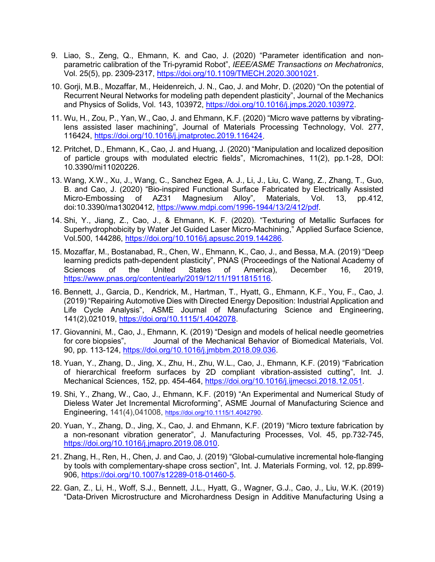- 9. Liao, S., Zeng, Q., Ehmann, K. and Cao, J. (2020) "Parameter identification and nonparametric calibration of the Tri-pyramid Robot", *IEEE/ASME Transactions on Mechatronics*, Vol. 25(5), pp. 2309-2317, [https://doi.org/10.1109/TMECH.2020.3001021.](https://doi.org/10.1109/TMECH.2020.3001021)
- 10. Gorji, M.B., Mozaffar, M., Heidenreich, J. N., Cao, J. and Mohr, D. (2020) "On the potential of Recurrent Neural Networks for modeling path dependent plasticity", Journal of the Mechanics and Physics of Solids, Vol. 143, 103972, [https://doi.org/10.1016/j.jmps.2020.103972.](https://doi.org/10.1016/j.jmps.2020.103972)
- 11. Wu, H., Zou, P., Yan, W., Cao, J. and Ehmann, K.F. (2020) "Micro wave patterns by vibratinglens assisted laser machining", Journal of Materials Processing Technology, Vol. 277, 116424, [https://doi.org/10.1016/j.jmatprotec.2019.116424.](https://doi.org/10.1016/j.jmatprotec.2019.116424)
- 12. Pritchet, D., Ehmann, K., Cao, J. and Huang, J. (2020) "Manipulation and localized deposition of particle groups with modulated electric fields", Micromachines, 11(2), pp.1-28, DOI: 10.3390/mi11020226.
- 13. Wang, X.W., Xu, J., Wang, C., Sanchez Egea, A. J., Li, J., Liu, C. Wang, Z., Zhang, T., Guo, B. and Cao, J. (2020) "Bio-inspired Functional Surface Fabricated by Electrically Assisted Micro-Embossing of AZ31 Magnesium Alloy", Materials, Vol. 13, pp.412, doi:10.3390/ma13020412, [https://www.mdpi.com/1996-1944/13/2/412/pdf.](https://www.mdpi.com/1996-1944/13/2/412/pdf)
- 14. Shi, Y., Jiang, Z., Cao, J., & Ehmann, K. F. (2020). "Texturing of Metallic Surfaces for Superhydrophobicity by Water Jet Guided Laser Micro-Machining," Applied Surface Science, Vol.500, 144286, [https://doi.org/10.1016/j.apsusc.2019.144286.](https://doi.org/10.1016/j.apsusc.2019.144286)
- 15. Mozaffar, M., Bostanabad, R., Chen, W., Ehmann, K., Cao, J., and Bessa, M.A. (2019) "Deep learning predicts path-dependent plasticity", PNAS (Proceedings of the National Academy of Sciences of the United States of America), December 16, 2019, [https://www.pnas.org/content/early/2019/12/11/1911815116.](https://www.pnas.org/content/early/2019/12/11/1911815116)
- 16. Bennett, J., Garcia, D., Kendrick, M., Hartman, T., Hyatt, G., Ehmann, K.F., You, F., Cao, J. (2019) "Repairing Automotive Dies with Directed Energy Deposition: Industrial Application and Life Cycle Analysis", ASME Journal of Manufacturing Science and Engineering, 141(2),021019, [https://doi.org/10.1115/1.4042078.](https://doi.org/10.1115/1.4042078)
- 17. Giovannini, M., Cao, J., Ehmann, K. (2019) "Design and models of helical needle geometries Journal of the Mechanical Behavior of Biomedical Materials, Vol. 90, pp. 113-124, [https://doi.org/10.1016/j.jmbbm.2018.09.036.](https://doi.org/10.1016/j.jmbbm.2018.09.036)
- 18. Yuan, Y., Zhang, D., Jing, X., Zhu, H., Zhu, W.L., Cao, J., Ehmann, K.F. (2019) "Fabrication of hierarchical freeform surfaces by 2D compliant vibration-assisted cutting", Int. J. Mechanical Sciences, 152, pp. 454-464, [https://doi.org/10.1016/j.ijmecsci.2018.12.051.](https://doi.org/10.1016/j.ijmecsci.2018.12.051)
- 19. Shi, Y., Zhang, W., Cao, J., Ehmann, K.F. (2019) "An Experimental and Numerical Study of Dieless Water Jet Incremental Microforming", ASME Journal of Manufacturing Science and Engineering, 141(4),041008, [https://doi.org/10.1115/1.4042790.](https://doi.org/10.1115/1.4042790)
- 20. Yuan, Y., Zhang, D., Jing, X., Cao, J. and Ehmann, K.F. (2019) "Micro texture fabrication by a non-resonant vibration generator", J. Manufacturing Processes, Vol. 45, pp.732-745, [https://doi.org/10.1016/j.jmapro.2019.08.010.](https://doi.org/10.1016/j.jmapro.2019.08.010)
- 21. Zhang, H., Ren, H., Chen, J. and Cao, J. (2019) "Global-cumulative incremental hole-flanging by tools with complementary-shape cross section", Int. J. Materials Forming, vol. 12, pp.899- 906, [https://doi.org/10.1007/s12289-018-01460-5.](https://doi.org/10.1007/s12289-018-01460-5)
- 22. Gan, Z., Li, H., Woff, S.J., Bennett, J.L., Hyatt, G., Wagner, G.J., Cao, J., Liu, W.K. (2019) "Data-Driven Microstructure and Microhardness Design in Additive Manufacturing Using a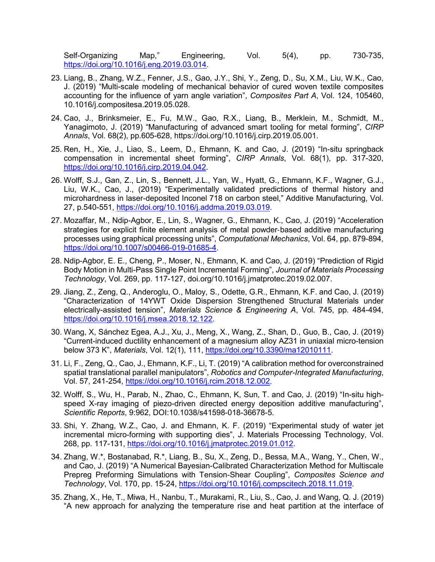Self-Organizing Map," Engineering, Vol. 5(4), pp. 730-735, [https://doi.org/10.1016/j.eng.2019.03.014.](https://doi.org/10.1016/j.eng.2019.03.014)

- 23. Liang, B., Zhang, W.Z., Fenner, J.S., Gao, J.Y., Shi, Y., Zeng, D., Su, X.M., Liu, W.K., Cao, J. (2019) "Multi-scale modeling of mechanical behavior of cured woven textile composites accounting for the influence of yarn angle variation", *Composites Part A*, Vol. 124, 105460, 10.1016/j.compositesa.2019.05.028.
- 24. Cao, J., Brinksmeier, E., Fu, M.W., Gao, R.X., Liang, B., Merklein, M., Schmidt, M., Yanagimoto, J. (2019) "Manufacturing of advanced smart tooling for metal forming", *CIRP Annals*, Vol. 68(2), pp.605-628, https://doi.org/10.1016/j.cirp.2019.05.001.
- 25. Ren, H., Xie, J., Liao, S., Leem, D., Ehmann, K. and Cao, J. (2019) "In-situ springback compensation in incremental sheet forming", *CIRP Annals*, Vol. 68(1), pp. 317-320, [https://doi.org/10.1016/j.cirp.2019.04.042.](https://doi.org/10.1016/j.cirp.2019.04.042)
- 26. Wolff, S.J., Gan, Z., Lin, S., Bennett, J.L., Yan, W., Hyatt, G., Ehmann, K.F., Wagner, G.J., Liu, W.K., Cao, J., (2019) "Experimentally validated predictions of thermal history and microhardness in laser-deposited Inconel 718 on carbon steel," Additive Manufacturing, Vol. 27, p.540-551, [https://doi.org/10.1016/j.addma.2019.03.019.](https://doi.org/10.1016/j.addma.2019.03.019)
- 27. Mozaffar, M., Ndip-Agbor, E., Lin, S., Wagner, G., Ehmann, K., Cao, J. (2019) "Acceleration strategies for explicit finite element analysis of metal powder-based additive manufacturing processes using graphical processing units", *Computational Mechanics*, Vol. 64, pp. 879-894, [https://doi.org/10.1007/s00466-019-01685-4.](https://doi.org/10.1007/s00466-019-01685-4)
- 28. Ndip-Agbor, E. E., Cheng, P., Moser, N., Ehmann, K. and Cao, J. (2019) "Prediction of Rigid Body Motion in Multi-Pass Single Point Incremental Forming", *Journal of Materials Processing Technology*, Vol. 269, pp. 117-127, doi.org/10.1016/j.jmatprotec.2019.02.007.
- 29. Jiang, Z., Zeng, Q., Anderoglu, O., Maloy, S., Odette, G.R., Ehmann, K.F. and Cao, J. (2019) "Characterization of 14YWT Oxide Dispersion Strengthened Structural Materials under electrically-assisted tension", *Materials Science & Engineering A*, Vol. 745, pp. 484-494, [https://doi.org/10.1016/j.msea.2018.12.122.](https://doi.org/10.1016/j.msea.2018.12.122)
- 30. Wang, X, Sánchez Egea, A.J., Xu, J., Meng, X., Wang, Z., Shan, D., Guo, B., Cao, J. (2019) "Current-induced ductility enhancement of a magnesium alloy AZ31 in uniaxial micro-tension below 373 K", *Materials*, Vol. 12(1), 111, [https://doi.org/10.3390/ma12010111.](https://doi.org/10.3390/ma12010111)
- 31. Li, F., Zeng, Q., Cao, J., Ehmann, K.F., Li, T. (2019) "A calibration method for overconstrained spatial translational parallel manipulators", *Robotics and Computer-Integrated Manufacturing*, Vol. 57, 241-254, [https://doi.org/10.1016/j.rcim.2018.12.002.](https://doi.org/10.1016/j.rcim.2018.12.002)
- 32. Wolff, S., Wu, H., Parab, N., Zhao, C., Ehmann, K, Sun, T. and Cao, J. (2019) "In-situ highspeed X-ray imaging of piezo-driven directed energy deposition additive manufacturing", *Scientific Reports*, 9:962, DOI:10.1038/s41598-018-36678-5.
- 33. Shi, Y. Zhang, W.Z., Cao, J. and Ehmann, K. F. (2019) "Experimental study of water jet incremental micro-forming with supporting dies", J. Materials Processing Technology, Vol. 268, pp. 117-131, [https://doi.org/10.1016/j.jmatprotec.2019.01.012.](https://doi.org/10.1016/j.jmatprotec.2019.01.012)
- 34. Zhang, W.\*, Bostanabad, R.\*, Liang, B., Su, X., Zeng, D., Bessa, M.A., Wang, Y., Chen, W., and Cao, J. (2019) "A Numerical Bayesian-Calibrated Characterization Method for Multiscale Prepreg Preforming Simulations with Tension-Shear Coupling", *Composites Science and Technology*, Vol. 170, pp. 15-24, [https://doi.org/10.1016/j.compscitech.2018.11.019.](https://doi.org/10.1016/j.compscitech.2018.11.019)
- 35. Zhang, X., He, T., Miwa, H., Nanbu, T., Murakami, R., Liu, S., Cao, J. and Wang, Q. J. (2019) "A new approach for analyzing the temperature rise and heat partition at the interface of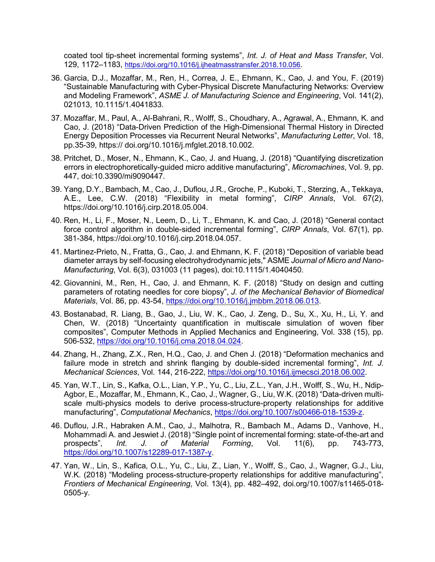coated tool tip-sheet incremental forming systems", *Int. J. of Heat and Mass Transfer*, Vol. 129, 1172–1183, [https://doi.org/10.1016/j.ijheatmasstransfer.2018.10.056.](https://doi.org/10.1016/j.ijheatmasstransfer.2018.10.056)

- 36. Garcia, D.J., Mozaffar, M., Ren, H., Correa, J. E., Ehmann, K., Cao, J. and You, F. (2019) "Sustainable Manufacturing with Cyber-Physical Discrete Manufacturing Networks: Overview and Modeling Framework", *ASME J. of Manufacturing Science and Engineering*, Vol. 141(2), 021013, 10.1115/1.4041833.
- 37. Mozaffar, M., Paul, A., Al-Bahrani, R., Wolff, S., Choudhary, A., Agrawal, A., Ehmann, K. and Cao, J. (2018) "Data-Driven Prediction of the High-Dimensional Thermal History in Directed Energy Deposition Processes via Recurrent Neural Networks", *Manufacturing Letter*, Vol. 18, pp.35-39, https:// doi.org/10.1016/j.mfglet.2018.10.002.
- 38. Pritchet, D., Moser, N., Ehmann, K., Cao, J. and Huang, J. (2018) "Quantifying discretization errors in electrophoretically-guided micro additive manufacturing", *Micromachines*, Vol. 9, pp. 447, doi:10.3390/mi9090447.
- 39. Yang, D.Y., Bambach, M., Cao, J., Duflou, J.R., Groche, P., Kuboki, T., Sterzing, A., Tekkaya, A.E., Lee, C.W. (2018) "Flexibility in metal forming", *CIRP Annals*, Vol. 67(2), https://doi.org/10.1016/j.cirp.2018.05.004.
- 40. Ren, H., Li, F., Moser, N., Leem, D., Li, T., Ehmann, K. and Cao, J. (2018) "General contact force control algorithm in double-sided incremental forming", *CIRP Annals*, Vol. 67(1), pp. 381-384, https://doi.org/10.1016/j.cirp.2018.04.057.
- 41. Martinez-Prieto, N., Fratta, G., Cao, J. and Ehmann, K. F. (2018) "Deposition of variable bead diameter arrays by self-focusing electrohydrodynamic jets," ASME *Journal of Micro and Nano-Manufacturing*, Vol. 6(3), 031003 (11 pages), doi:10.1115/1.4040450.
- 42. Giovannini, M., Ren, H., Cao, J. and Ehmann, K. F. (2018) "Study on design and cutting parameters of rotating needles for core biopsy", *J. of the Mechanical Behavior of Biomedical Materials*, Vol. 86, pp. 43-54, [https://doi.org/10.1016/j.jmbbm.2018.06.013.](https://doi.org/10.1016/j.jmbbm.2018.06.013)
- 43. Bostanabad, R. Liang, B., Gao, J., Liu, W. K., Cao, J. Zeng, D., Su, X., Xu, H., Li, Y. and Chen, W. (2018) "Uncertainty quantification in multiscale simulation of woven fiber composites", Computer Methods in Applied Mechanics and Engineering, Vol. 338 (15), pp. 506-532, [https://doi.org/10.1016/j.cma.2018.04.024.](https://doi.org/10.1016/j.cma.2018.04.024)
- 44. Zhang, H., Zhang, Z.X., Ren, H.Q., Cao, J. and Chen J. (2018) "Deformation mechanics and failure mode in stretch and shrink flanging by double-sided incremental forming", *Int. J. Mechanical Sciences*, Vol. 144, 216-222, [https://doi.org/10.1016/j.ijmecsci.2018.06.002.](https://doi.org/10.1016/j.ijmecsci.2018.06.002)
- 45. Yan, W.T., Lin, S., Kafka, O.L., Lian, Y.P., Yu, C., Liu, Z.L., Yan, J.H., Wolff, S., Wu, H., Ndip-Agbor, E., Mozaffar, M., Ehmann, K., Cao, J., Wagner, G., Liu, W.K. (2018) "Data-driven multiscale multi-physics models to derive process-structure-property relationships for additive manufacturing", *Computational Mechanics*, [https://doi.org/10.1007/s00466-018-1539-z.](https://doi.org/10.1007/s00466-018-1539-z)
- 46. Duflou, J.R., Habraken A.M., Cao, J., Malhotra, R., Bambach M., Adams D., Vanhove, H., Mohammadi A. and Jeswiet J. (2018) "Single point of incremental forming: state-of-the-art and prospects", *Int. J. of Material Forming*, Vol. 11(6), pp. 743-773, [https://doi.org/10.1007/s12289-017-1387-y.](https://doi.org/10.1007/s12289-017-1387-y)
- 47. Yan, W., Lin, S., Kafica, O.L., Yu, C., Liu, Z., Lian, Y., Wolff, S., Cao, J., Wagner, G.J., Liu, W.K. (2018) "Modeling process-structure-property relationships for additive manufacturing", *Frontiers of Mechanical Engineering*, Vol. 13(4), pp. 482–492, doi.org/10.1007/s11465-018- 0505-y.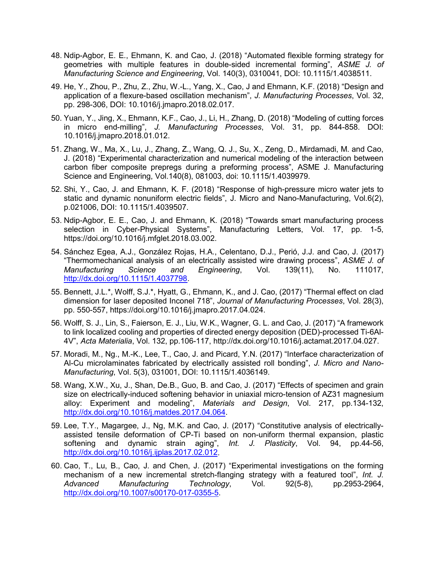- 48. Ndip-Agbor, E. E., Ehmann, K. and Cao, J. (2018) "Automated flexible forming strategy for geometries with multiple features in double-sided incremental forming", *ASME J. of Manufacturing Science and Engineering*, Vol. 140(3), 0310041, DOI: 10.1115/1.4038511.
- 49. He, Y., Zhou, P., Zhu, Z., Zhu, W.-L., Yang, X., Cao, J and Ehmann, K.F. (2018) "Design and application of a flexure-based oscillation mechanism", *J. Manufacturing Processes*, Vol. 32, pp. 298-306, DOI: 10.1016/j.jmapro.2018.02.017.
- 50. Yuan, Y., Jing, X., Ehmann, K.F., Cao, J., Li, H., Zhang, D. (2018) "Modeling of cutting forces in micro end-milling", *J. Manufacturing Processes*, Vol. 31, pp. 844-858. DOI: 10.1016/j.jmapro.2018.01.012.
- 51. Zhang, W., Ma, X., Lu, J., Zhang, Z., Wang, Q. J., Su, X., Zeng, D., Mirdamadi, M. and Cao, J. (2018) "Experimental characterization and numerical modeling of the interaction between carbon fiber composite prepregs during a preforming process", ASME J. Manufacturing Science and Engineering, Vol.140(8), 081003, doi: 10.1115/1.4039979.
- 52. Shi, Y., Cao, J. and Ehmann, K. F. (2018) "Response of high-pressure micro water jets to static and dynamic nonuniform electric fields", J. Micro and Nano-Manufacturing, Vol.6(2), p.021006, DOI: 10.1115/1.4039507.
- 53. Ndip-Agbor, E. E., Cao, J. and Ehmann, K. (2018) "Towards smart manufacturing process selection in Cyber-Physical Systems", Manufacturing Letters, Vol. 17, pp. 1-5, https://doi.org/10.1016/j.mfglet.2018.03.002.
- 54. Sánchez Egea, A.J., González Rojas, H.A., Celentano, D.J., Perió, J.J. and Cao, J. (2017) "Thermomechanical analysis of an electrically assisted wire drawing process", *ASME J. of Manufacturing Science and Engineering*, Vol. 139(11), No. 111017, [http://dx.doi.org/10.1115/1.4037798.](http://dx.doi.org/10.1115/1.4037798)
- 55. Bennett, J.L.\*, Wolff, S.J.\*, Hyatt, G., Ehmann, K., and J. Cao, (2017) "Thermal effect on clad dimension for laser deposited Inconel 718", *Journal of Manufacturing Processes*, Vol. 28(3), pp. 550-557, https://doi.org/10.1016/j.jmapro.2017.04.024.
- 56. Wolff, S. J., Lin, S., Faierson, E. J., Liu, W.K., Wagner, G. L. and Cao, J. (2017) "A framework to link localized cooling and properties of directed energy deposition (DED)-processed Ti-6Al-4V", *Acta Materialia*, Vol. 132, pp.106-117, http://dx.doi.org/10.1016/j.actamat.2017.04.027.
- 57. Moradi, M., Ng., M.-K., Lee, T., Cao, J. and Picard, Y.N. (2017) "Interface characterization of Al-Cu microlaminates fabricated by electrically assisted roll bonding", *J. Micro and Nano-Manufacturing*, Vol. 5(3), 031001, DOI: 10.1115/1.4036149.
- 58. Wang, X.W., Xu, J., Shan, De.B., Guo, B. and Cao, J. (2017) "Effects of specimen and grain size on electrically-induced softening behavior in uniaxial micro-tension of AZ31 magnesium alloy: Experiment and modeling", *Materials and Design*, Vol. 217, pp.134-132, [http://dx.doi.org/10.1016/j.matdes.2017.04.064.](http://dx.doi.org/10.1016/j.matdes.2017.04.064)
- 59. Lee, T.Y., Magargee, J., Ng, M.K. and Cao, J. (2017) "Constitutive analysis of electricallyassisted tensile deformation of CP-Ti based on non-uniform thermal expansion, plastic softening and dynamic strain aging", *Int. J. Plasticity*, Vol. 94, pp.44-56, [http://dx.doi.org/10.1016/j.ijplas.2017.02.012.](http://dx.doi.org/10.1016/j.ijplas.2017.02.012)
- 60. Cao, T., Lu, B., Cao, J. and Chen, J. (2017) "Experimental investigations on the forming mechanism of a new incremental stretch-flanging strategy with a featured tool", *Int. J. Advanced Manufacturing Technology*, Vol. 92(5-8), pp.2953-2964, [http://dx.doi.org/10.1007/s00170-017-0355-5.](http://dx.doi.org/10.1007/s00170-017-0355-5)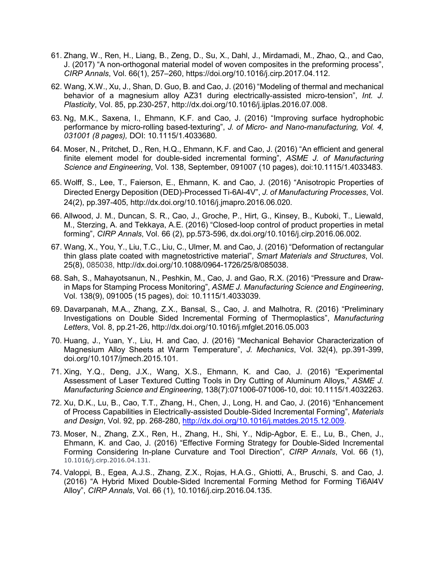- 61. Zhang, W., Ren, H., Liang, B., Zeng, D., Su, X., Dahl, J., Mirdamadi, M., Zhao, Q., and Cao, J. (2017) "A non-orthogonal material model of woven composites in the preforming process", *CIRP Annals*, Vol. 66(1), 257–260, https://doi.org/10.1016/j.cirp.2017.04.112.
- 62. Wang, X.W., Xu, J., Shan, D. Guo, B. and Cao, J. (2016) "Modeling of thermal and mechanical behavior of a magnesium alloy AZ31 during electrically-assisted micro-tension", *Int. J. Plasticity*, Vol. 85, pp.230-257, http://dx.doi.org/10.1016/j.ijplas.2016.07.008.
- 63. Ng, M.K., Saxena, I., Ehmann, K.F. and Cao, J. (2016) "Improving surface hydrophobic performance by micro-rolling based-texturing", *J. of Micro- and Nano-manufacturing, Vol. 4, 031001 (8 pages),* DOI: 10.1115/1.4033680*.*
- 64. Moser, N., Pritchet, D., Ren, H.Q., Ehmann, K.F. and Cao, J. (2016) "An efficient and general finite element model for double-sided incremental forming", *ASME J. of Manufacturing Science and Engineering*, Vol. 138, September, 091007 (10 pages), doi:10.1115/1.4033483.
- 65. Wolff, S., Lee, T., Faierson, E., Ehmann, K. and Cao, J. (2016) "Anisotropic Properties of Directed Energy Deposition (DED)-Processed Ti-6Al-4V", *J. of Manufacturing Processes*, Vol. 24(2), pp.397-405, http://dx.doi.org/10.1016/j.jmapro.2016.06.020.
- 66. Allwood, J. M., Duncan, S. R., Cao, J., Groche, P., Hirt, G., Kinsey, B., Kuboki, T., Liewald, M., Sterzing, A. and Tekkaya, A.E. (2016) "Closed-loop control of product properties in metal forming", *CIRP Annals*, Vol. 66 (2), pp.573-596, dx.doi.org/10.1016/j.cirp.2016.06.002.
- 67. Wang, X., You, Y., Liu, T.C., Liu, C., Ulmer, M. and Cao, J. (2016) "Deformation of rectangular thin glass plate coated with magnetostrictive material", *Smart Materials and Structures*, Vol. 25(8), 085038, http://dx.doi.org/10.1088/0964-1726/25/8/085038.
- 68. Sah, S., Mahayotsanun, N., Peshkin, M., Cao, J. and Gao, R.X. (2016) "Pressure and Drawin Maps for Stamping Process Monitoring", *ASME J. Manufacturing Science and Engineering*, Vol. 138(9), 091005 (15 pages), doi: 10.1115/1.4033039.
- 69. Davarpanah, M.A., Zhang, Z.X., Bansal, S., Cao, J. and Malhotra, R. (2016) "Preliminary Investigations on Double Sided Incremental Forming of Thermoplastics", *Manufacturing Letters*, Vol. 8, pp.21-26, http://dx.doi.org/10.1016/j.mfglet.2016.05.003
- 70. Huang, J., Yuan, Y., Liu, H. and Cao, J. (2016) "Mechanical Behavior Characterization of Magnesium Alloy Sheets at Warm Temperature", *J. Mechanics*, Vol. 32(4), pp.391-399, doi.org/10.1017/jmech.2015.101.
- 71. Xing, Y.Q., Deng, J.X., Wang, X.S., Ehmann, K. and Cao, J. (2016) "Experimental Assessment of Laser Textured Cutting Tools in Dry Cutting of Aluminum Alloys," *ASME J. Manufacturing Science and Engineering*, 138(7):071006-071006-10, doi: 10.1115/1.4032263.
- 72. Xu, D.K., Lu, B., Cao, T.T., Zhang, H., Chen, J., Long, H. and Cao, J. (2016) "Enhancement of Process Capabilities in Electrically-assisted Double-Sided Incremental Forming", *Materials and Design*, Vol. 92, pp. 268-280, [http://dx.doi.org/10.1016/j.matdes.2015.12.009.](http://dx.doi.org/10.1016/j.matdes.2015.12.009)
- 73. Moser, N., Zhang, Z.X., Ren, H., Zhang, H., Shi, Y., Ndip-Agbor, E. E., Lu, B., Chen, J., Ehmann, K. and Cao, J. (2016) "Effective Forming Strategy for Double-Sided Incremental Forming Considering In-plane Curvature and Tool Direction", *CIRP Annals*, Vol. 66 (1), 10.1016/j.cirp.2016.04.131.
- 74. Valoppi, B., Egea, A.J.S., Zhang, Z.X., Rojas, H.A.G., Ghiotti, A., Bruschi, S. and Cao, J. (2016) "A Hybrid Mixed Double-Sided Incremental Forming Method for Forming Ti6Al4V Alloy", *CIRP Annals*, Vol. 66 (1), 10.1016/j.cirp.2016.04.135.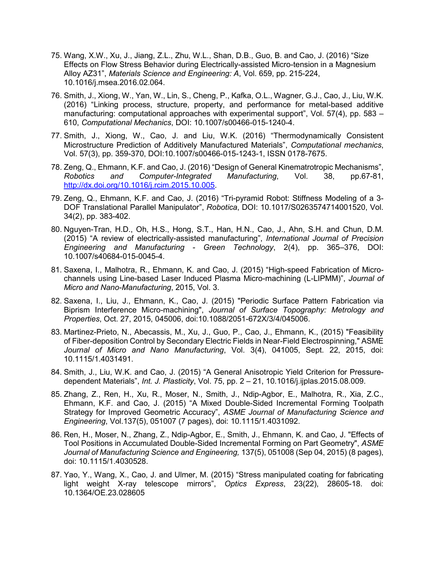- 75. Wang, X.W., Xu, J., Jiang, Z.L., Zhu, W.L., Shan, D.B., Guo, B. and Cao, J. (2016) "Size Effects on Flow Stress Behavior during Electrically-assisted Micro-tension in a Magnesium Alloy AZ31", *Materials Science and Engineering: A*, Vol. 659, pp. 215-224, 10.1016/j.msea.2016.02.064.
- 76. Smith, J., Xiong, W., Yan, W., Lin, S., Cheng, P., Kafka, O.L., Wagner, G.J., Cao, J., Liu, W.K. (2016) "Linking process, structure, property, and performance for metal-based additive manufacturing: computational approaches with experimental support", Vol. 57(4), pp. 583 – 610, *Computational Mechanics*, DOI: 10.1007/s00466-015-1240-4.
- 77. Smith, J., Xiong, W., Cao, J. and Liu, W.K. (2016) "Thermodynamically Consistent Microstructure Prediction of Additively Manufactured Materials", *Computational mechanics*, Vol. 57(3), pp. 359-370, DOI:10.1007/s00466-015-1243-1, ISSN 0178-7675.
- 78. Zeng, Q., Ehmann, K.F. and Cao, J. (2016) "Design of General Kinematrotropic Mechanisms", *Robotics and Computer-Integrated Manufacturing*, Vol. 38, pp.67-81, [http://dx.doi.org/10.1016/j.rcim.2015.10.005.](http://dx.doi.org/10.1016/j.rcim.2015.10.005)
- 79. Zeng, Q., Ehmann, K.F. and Cao, J. (2016) "Tri-pyramid Robot: Stiffness Modeling of a 3- DOF Translational Parallel Manipulator", *Robotica*, DOI: 10.1017/S0263574714001520, Vol. 34(2), pp. 383-402.
- 80. Nguyen-Tran, H.D., Oh, H.S., Hong, S.T., Han, H.N., Cao, J., Ahn, S.H. and Chun, D.M. (2015) "A review of electrically-assisted manufacturing", *International Journal of Precision Engineering and Manufacturing - Green Technology*, 2(4), pp. 365–376, DOI: 10.1007/s40684-015-0045-4.
- 81. Saxena, I., Malhotra, R., Ehmann, K. and Cao, J. (2015) "High-speed Fabrication of Microchannels using Line-based Laser Induced Plasma Micro-machining (L-LIPMM)", *Journal of Micro and Nano-Manufacturing*, 2015, Vol. 3.
- 82. Saxena, I., Liu, J., Ehmann, K., Cao, J. (2015) "Periodic Surface Pattern Fabrication via Biprism Interference Micro-machining", *Journal of Surface Topography: Metrology and Properties*, Oct. 27, 2015, 045006, doi:10.1088/2051-672X/3/4/045006.
- 83. Martinez-Prieto, N., Abecassis, M., Xu, J., Guo, P., Cao, J., Ehmann, K., (2015) "Feasibility of Fiber-deposition Control by Secondary Electric Fields in Near-Field Electrospinning," ASME *Journal of Micro and Nano Manufacturing*, Vol. 3(4), 041005, Sept. 22, 2015, doi: 10.1115/1.4031491.
- 84. Smith, J., Liu, W.K. and Cao, J. (2015) "A General Anisotropic Yield Criterion for Pressuredependent Materials", *Int. J. Plasticity*, Vol. 75, pp. 2 – 21, 10.1016/j.ijplas.2015.08.009.
- 85. Zhang, Z., Ren, H., Xu, R., Moser, N., Smith, J., Ndip-Agbor, E., Malhotra, R., Xia, Z.C., Ehmann, K.F. and Cao, J. (2015) "A Mixed Double-Sided Incremental Forming Toolpath Strategy for Improved Geometric Accuracy", *ASME Journal of Manufacturing Science and Engineering*, Vol.137(5), 051007 (7 pages), doi: 10.1115/1.4031092.
- 86. Ren, H., Moser, N., Zhang, Z., Ndip-Agbor, E., Smith, J., Ehmann, K. and Cao, J. "Effects of Tool Positions in Accumulated Double-Sided Incremental Forming on Part Geometry", *ASME Journal of Manufacturing Science and Engineering,* 137(5), 051008 (Sep 04, 2015) (8 pages), doi: 10.1115/1.4030528.
- 87. Yao, Y., Wang, X., Cao, J. and Ulmer, M. (2015) "Stress manipulated coating for fabricating light weight X-ray telescope mirrors", *Optics Express*, 23(22), 28605-18. doi: 10.1364/OE.23.028605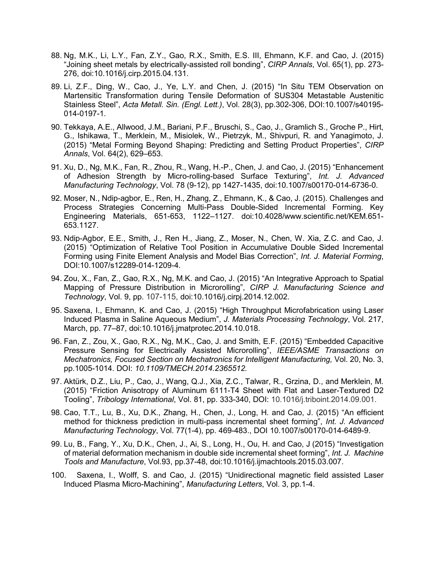- 88. Ng, M.K., Li, L.Y., Fan, Z.Y., Gao, R.X., Smith, E.S. III, Ehmann, K.F. and Cao, J. (2015) "Joining sheet metals by electrically-assisted roll bonding", *CIRP Annals*, Vol. 65(1), pp. 273- 276, doi:10.1016/j.cirp.2015.04.131.
- 89. Li, Z.F., Ding, W., Cao, J., Ye, L.Y. and Chen, J. (2015) "In Situ TEM Observation on Martensitic Transformation during Tensile Deformation of SUS304 Metastable Austenitic Stainless Steel", *Acta Metall. Sin. (Engl. Lett.)*, Vol. 28(3), pp.302-306, DOI:10.1007/s40195- 014-0197-1.
- 90. Tekkaya, A.E., Allwood, J.M., Bariani, P.F., Bruschi, S., Cao, J., Gramlich S., Groche P., Hirt, G., Ishikawa, T., Merklein, M., Misiolek, W., Pietrzyk, M., Shivpuri, R. and Yanagimoto, J. (2015) "Metal Forming Beyond Shaping: Predicting and Setting Product Properties", *CIRP Annals*, Vol. 64(2), 629–653.
- 91. Xu, D., Ng, M.K., Fan, R., Zhou, R., Wang, H.-P., Chen, J. and Cao, J. (2015) "Enhancement of Adhesion Strength by Micro-rolling-based Surface Texturing", *Int. J. Advanced Manufacturing Technology*, Vol. 78 (9-12), pp 1427-1435, doi:10.1007/s00170-014-6736-0.
- 92. Moser, N., Ndip-agbor, E., Ren, H., Zhang, Z., Ehmann, K., & Cao, J. (2015). Challenges and Process Strategies Concerning Multi-Pass Double-Sided Incremental Forming. Key Engineering Materials, 651-653, 1122–1127. doi:10.4028/www.scientific.net/KEM.651- 653.1127.
- 93. Ndip-Agbor, E.E., Smith, J., Ren H., Jiang, Z., Moser, N., Chen, W. Xia, Z.C. and Cao, J. (2015) "Optimization of Relative Tool Position in Accumulative Double Sided Incremental Forming using Finite Element Analysis and Model Bias Correction", *Int. J. Material Forming*, DOI:10.1007/s12289-014-1209-4.
- 94. Zou, X., Fan, Z., Gao, R.X., Ng, M.K. and Cao, J. (2015) "An Integrative Approach to Spatial Mapping of Pressure Distribution in Microrolling", *CIRP J. Manufacturing Science and Technology*, Vol. 9, pp. 107-115, doi:10.1016/j.cirpj.2014.12.002.
- 95. Saxena, I., Ehmann, K. and Cao, J. (2015) "High Throughput Microfabrication using Laser Induced Plasma in Saline Aqueous Medium", *J. Materials Processing Technology*, Vol. 217, March, pp. 77–87, doi:10.1016/j.jmatprotec.2014.10.018.
- 96. Fan, Z., Zou, X., Gao, R.X., Ng, M.K., Cao, J. and Smith, E.F. (2015) "Embedded Capacitive Pressure Sensing for Electrically Assisted Microrolling", *IEEE/ASME Transactions on Mechatronics, Focused Section on Mechatronics for Intelligent Manufacturing,* Vol. 20, No. 3, pp.1005-1014. DOI: *10.1109/TMECH.2014.2365512.*
- 97. Aktürk, D.Z., Liu, P., Cao, J., Wang, Q.J., Xia, Z.C., Talwar, R., Grzina, D., and Merklein, M. (2015) "Friction Anisotropy of Aluminum 6111-T4 Sheet with Flat and Laser-Textured D2 Tooling", *Tribology International*, Vol. 81, pp. 333-340, DOI: 10.1016/j.triboint.2014.09.001.
- 98. Cao, T.T., Lu, B., Xu, D.K., Zhang, H., Chen, J., Long, H. and Cao, J. (2015) "An efficient method for thickness prediction in multi-pass incremental sheet forming", *Int. J. Advanced Manufacturing Technology*, Vol. 77(1-4), pp. 469-483., DOI 10.1007/s00170-014-6489-9.
- 99. Lu, B., Fang, Y., Xu, D.K., Chen, J., Ai, S., Long, H., Ou, H. and Cao, J (2015) "Investigation of material deformation mechanism in double side incremental sheet forming", *Int. J. Machine Tools and Manufacture*, Vol.93, pp.37-48, doi:10.1016/j.ijmachtools.2015.03.007.
- 100. Saxena, I., Wolff, S. and Cao, J. (2015) "Unidirectional magnetic field assisted Laser Induced Plasma Micro-Machining", *Manufacturing Letters*, Vol. 3, pp.1-4.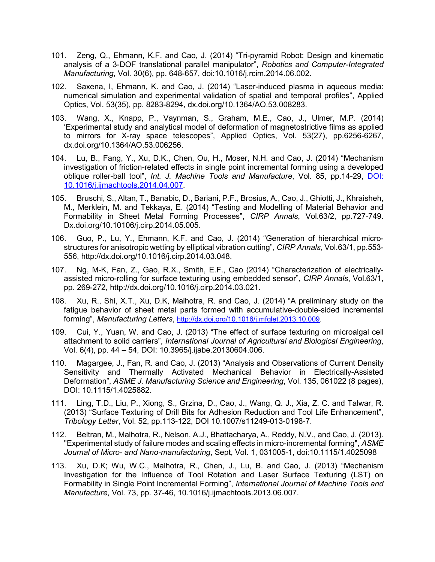- 101. Zeng, Q., Ehmann, K.F. and Cao, J. (2014) "Tri-pyramid Robot: Design and kinematic analysis of a 3-DOF translational parallel manipulator", *Robotics and Computer-Integrated Manufacturing*, Vol. 30(6), pp. 648-657, doi:10.1016/j.rcim.2014.06.002.
- 102. Saxena, I, Ehmann, K. and Cao, J. (2014) "Laser-induced plasma in aqueous media: numerical simulation and experimental validation of spatial and temporal profiles", Applied Optics, Vol. 53(35), pp. 8283-8294, dx.doi.org/10.1364/AO.53.008283.
- 103. Wang, X., Knapp, P., Vaynman, S., Graham, M.E., Cao, J., Ulmer, M.P. (2014) 'Experimental study and analytical model of deformation of magnetostrictive films as applied to mirrors for X-ray space telescopes", Applied Optics, Vol. 53(27), pp.6256-6267, dx.doi.org/10.1364/AO.53.006256.
- 104. Lu, B., Fang, Y., Xu, D.K., Chen, Ou, H., Moser, N.H. and Cao, J. (2014) "Mechanism investigation of friction-related effects in single point incremental forming using a developed oblique roller-ball tool", *Int. J. Machine Tools and Manufacture*, Vol. 85, pp.14-29, [DOI:](http://dx.doi.org/10.1016/j.ijmachtools.2014.04.007)  [10.1016/j.ijmachtools.2014.04.007.](http://dx.doi.org/10.1016/j.ijmachtools.2014.04.007)
- 105. Bruschi, S., Altan, T., Banabic, D., Bariani, P.F., Brosius, A., Cao, J., Ghiotti, J., Khraisheh, M., Merklein, M. and Tekkaya, E. (2014) "Testing and Modelling of Material Behavior and Formability in Sheet Metal Forming Processes", *CIRP Annals*, Vol.63/2, pp.727-749. Dx.doi.org/10.10106/j.cirp.2014.05.005.
- 106. Guo, P., Lu, Y., Ehmann, K.F. and Cao, J. (2014) "Generation of hierarchical microstructures for anisotropic wetting by elliptical vibration cutting", *CIRP Annals*, Vol.63/1, pp.553- 556, http://dx.doi.org/10.1016/j.cirp.2014.03.048.
- 107. Ng, M-K, Fan, Z., Gao, R.X., Smith, E.F., Cao (2014) "Characterization of electricallyassisted micro-rolling for surface texturing using embedded sensor", *CIRP Annals*, Vol.63/1, pp. 269-272, http://dx.doi.org/10.1016/j.cirp.2014.03.021.
- 108. Xu, R., Shi, X.T., Xu, D.K, Malhotra, R. and Cao, J. (2014) "A preliminary study on the fatigue behavior of sheet metal parts formed with accumulative-double-sided incremental forming", *Manufacturing Letters*, [http://dx.doi.org/10.1016/j.mfglet.2013.10.009.](http://dx.doi.org/10.1016/j.mfglet.2013.10.009)
- 109. Cui, Y., Yuan, W. and Cao, J. (2013) "The effect of surface texturing on microalgal cell attachment to solid carriers", *International Journal of Agricultural and Biological Engineering*, Vol. 6(4), pp. 44 – 54, DOI: 10.3965/j.ijabe.20130604.006.
- 110. Magargee, J., Fan, R. and Cao, J. (2013) "Analysis and Observations of Current Density Sensitivity and Thermally Activated Mechanical Behavior in Electrically-Assisted Deformation", *ASME J. Manufacturing Science and Engineering*, Vol. 135, 061022 (8 pages), DOI: 10.1115/1.4025882.
- 111. Ling, T.D., Liu, P., Xiong, S., Grzina, D., Cao, J., Wang, Q. J., Xia, Z. C. and Talwar, R. (2013) "Surface Texturing of Drill Bits for Adhesion Reduction and Tool Life Enhancement", *Tribology Letter*, Vol. 52, pp.113-122, DOI 10.1007/s11249-013-0198-7.
- 112. Beltran, M., Malhotra, R., Nelson, A.J., Bhattacharya, A., Reddy, N.V., and Cao, J. (2013). "Experimental study of failure modes and scaling effects in micro-incremental forming", *ASME Journal of Micro- and Nano-manufacturing*, Sept, Vol. 1, 031005-1, doi:10.1115/1.4025098
- 113. Xu, D.K; Wu, W.C., Malhotra, R., Chen, J., Lu, B. and Cao, J. (2013) "Mechanism Investigation for the Influence of Tool Rotation and Laser Surface Texturing (LST) on Formability in Single Point Incremental Forming", *International Journal of Machine Tools and Manufacture*, Vol. 73, pp. 37-46, 10.1016/j.ijmachtools.2013.06.007.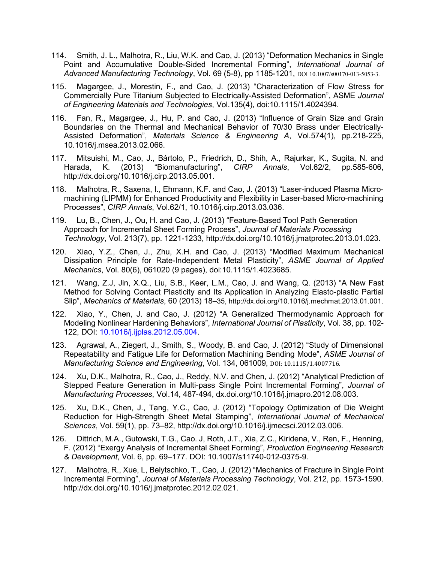- 114. Smith, J. L., Malhotra, R., Liu, W.K. and Cao, J. (2013) "Deformation Mechanics in Single Point and Accumulative Double-Sided Incremental Forming", *International Journal of Advanced Manufacturing Technology*, Vol. 69 (5-8), pp 1185-1201, DOI 10.1007/s00170-013-5053-3.
- 115. Magargee, J., Morestin, F., and Cao, J. (2013) "Characterization of Flow Stress for Commercially Pure Titanium Subjected to Electrically-Assisted Deformation", ASME *Journal of Engineering Materials and Technologies*, Vol.135(4), doi:10.1115/1.4024394.
- 116. Fan, R., Magargee, J., Hu, P. and Cao, J. (2013) "Influence of Grain Size and Grain Boundaries on the Thermal and Mechanical Behavior of 70/30 Brass under Electrically-Assisted Deformation", *Materials Science & Engineering A*, Vol.574(1), pp.218-225, 10.1016/j.msea.2013.02.066.
- 117. Mitsuishi, M., Cao, J., Bártolo, P., Friedrich, D., Shih, A., Rajurkar, K., Sugita, N. and Harada, K. (2013) "Biomanufacturing", *CIRP Annals*, Vol.62/2, pp.585-606, http://dx.doi.org/10.1016/j.cirp.2013.05.001.
- 118. Malhotra, R., Saxena, I., Ehmann, K.F. and Cao, J. (2013) "Laser-induced Plasma Micromachining (LIPMM) for Enhanced Productivity and Flexibility in Laser-based Micro-machining Processes", *CIRP Annals*, Vol.62/1, 10.1016/j.cirp.2013.03.036.
- 119. Lu, B., Chen, J., Ou, H. and Cao, J. (2013) "Feature-Based Tool Path Generation Approach for Incremental Sheet Forming Process", *Journal of Materials Processing Technology*, Vol. 213(7), pp. 1221-1233, http://dx.doi.org/10.1016/j.jmatprotec.2013.01.023.
- 120. Xiao, Y.Z., Chen, J., Zhu, X.H. and Cao, J. (2013) "Modified Maximum Mechanical Dissipation Principle for Rate-Independent Metal Plasticity", *ASME Journal of Applied Mechanics*, Vol. 80(6), 061020 (9 pages), doi:10.1115/1.4023685.
- 121. Wang, Z.J, Jin, X.Q., Liu, S.B., Keer, L.M., Cao, J. and Wang, Q. (2013) "A New Fast Method for Solving Contact Plasticity and Its Application in Analyzing Elasto-plastic Partial Slip", *Mechanics of Materials*, 60 (2013) 18–35, http://dx.doi.org/10.1016/j.mechmat.2013.01.001.
- 122. Xiao, Y., Chen, J. and Cao, J. (2012) "A Generalized Thermodynamic Approach for Modeling Nonlinear Hardening Behaviors", *International Journal of Plasticity*, Vol. 38, pp. 102- 122, DOI: [10.1016/j.ijplas.2012.05.004.](http://dx.doi.org/10.1016/j.ijplas.2012.05.004)
- 123. Agrawal, A., Ziegert, J., Smith, S., Woody, B. and Cao, J. (2012) "Study of Dimensional Repeatability and Fatigue Life for Deformation Machining Bending Mode", *ASME Journal of Manufacturing Science and Engineering*, Vol. 134, 061009, DOI: 10.1115/1.4007716.
- 124. Xu, D.K., Malhotra, R., Cao, J., Reddy, N.V. and Chen, J. (2012) "Analytical Prediction of Stepped Feature Generation in Multi-pass Single Point Incremental Forming", *Journal of Manufacturing Processes*, Vol.14, 487-494, dx.doi.org/10.1016/j.jmapro.2012.08.003.
- 125. Xu, D.K., Chen, J., Tang, Y.C., Cao, J. (2012) "Topology Optimization of Die Weight Reduction for High-Strength Sheet Metal Stamping", *International Journal of Mechanical Sciences*, Vol. 59(1), pp. 73–82, http://dx.doi.org/10.1016/j.ijmecsci.2012.03.006.
- 126. Dittrich, M.A., Gutowski, T.G., Cao. J, Roth, J.T., Xia, Z.C., Kiridena, V., Ren, F., Henning, F. (2012) "Exergy Analysis of Incremental Sheet Forming", *Production Engineering Research & Development*, Vol. 6, pp. 69–177. DOI: 10.1007/s11740-012-0375-9.
- 127. Malhotra, R., Xue, L, Belytschko, T., Cao, J. (2012) "Mechanics of Fracture in Single Point Incremental Forming", *Journal of Materials Processing Technology*, Vol. 212, pp. 1573-1590. http://dx.doi.org/10.1016/j.jmatprotec.2012.02.021.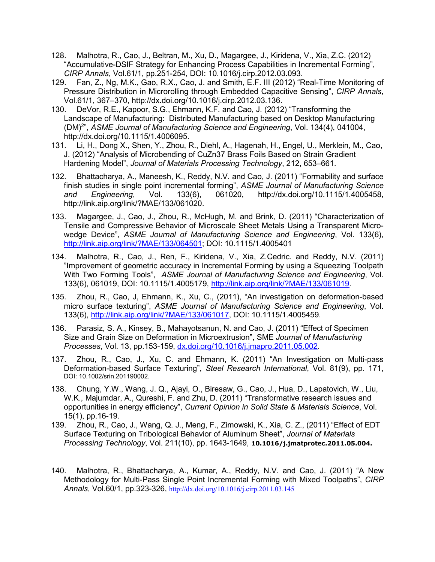- 128. Malhotra, R., Cao, J., Beltran, M., Xu, D., Magargee, J., Kiridena, V., Xia, Z.C. (2012) "Accumulative-DSIF Strategy for Enhancing Process Capabilities in Incremental Forming", *CIRP Annals*, Vol.61/1, pp.251-254, DOI: 10.1016/j.cirp.2012.03.093.
- 129. Fan, Z., Ng, M.K., Gao, R.X., Cao, J. and Smith, E.F. III (2012) "Real-Time Monitoring of Pressure Distribution in Microrolling through Embedded Capacitive Sensing", *CIRP Annals*, Vol.61/1, 367–370, http://dx.doi.org/10.1016/j.cirp.2012.03.136.
- 130. DeVor, R.E., Kapoor, S.G., Ehmann, K.F. and Cao, J. (2012) "Transforming the Landscape of Manufacturing: Distributed Manufacturing based on Desktop Manufacturing (DM)2 ", *ASME Journal of Manufacturing Science and Engineering*, Vol. 134(4), 041004, http://dx.doi.org/10.1115/1.4006095.
- 131. Li, H., Dong X., Shen, Y., Zhou, R., Diehl, A., Hagenah, H., Engel, U., Merklein, M., Cao, J. (2012) "Analysis of Microbending of CuZn37 Brass Foils Based on Strain Gradient Hardening Model", *Journal of Materials Processing Technology*, 212, 653–661.
- 132. Bhattacharya, A., Maneesh, K., Reddy, N.V. and Cao, J. (2011) "Formability and surface finish studies in single point incremental forming", *ASME Journal of Manufacturing Science and Engineering*, Vol. 133(6), 061020, http://dx.doi.org/10.1115/1.4005458, http://link.aip.org/link/?MAE/133/061020.
- 133. Magargee, J., Cao, J., Zhou, R., McHugh, M. and Brink, D. (2011) "Characterization of Tensile and Compressive Behavior of Microscale Sheet Metals Using a Transparent Microwedge Device", *ASME Journal of Manufacturing Science and Engineering*, Vol. 133(6), [http://link.aip.org/link/?MAE/133/064501;](http://link.aip.org/link/?MAE/133/064501) DOI: 10.1115/1.4005401
- 134. Malhotra, R., Cao, J., Ren, F., Kiridena, V., Xia, Z.Cedric. and Reddy, N.V. (2011) "Improvement of geometric accuracy in Incremental Forming by using a Squeezing Toolpath With Two Forming Tools", *ASME Journal of Manufacturing Science and Engineering*, Vol. 133(6), 061019, DOI: 10.1115/1.4005179, [http://link.aip.org/link/?MAE/133/061019.](http://link.aip.org/link/?MAE/133/061019)
- 135. Zhou, R., Cao, J, Ehmann, K., Xu, C., (2011), "An investigation on deformation-based micro surface texturing", *ASME Journal of Manufacturing Science and Engineering*, Vol. 133(6), [http://link.aip.org/link/?MAE/133/061017,](http://link.aip.org/link/?MAE/133/061017) DOI: 10.1115/1.4005459.
- 136. Parasiz, S. A., Kinsey, B., Mahayotsanun, N. and Cao, J. (2011) "Effect of Specimen Size and Grain Size on Deformation in Microextrusion", SME *Journal of Manufacturing Processes*, Vol. 13, pp.153-159, [dx.doi.org/10.1016/j.jmapro.2011.05.002.](http://dx.doi.org/10.1016/j.jmapro.2011.05.002)
- 137. Zhou, R., Cao, J., Xu, C. and Ehmann, K. (2011) "An Investigation on Multi-pass Deformation-based Surface Texturing", *Steel Research International*, Vol. 81(9), pp. 171, DOI: 10.1002/srin.201190002.
- 138. Chung, Y.W., Wang, J. Q., Ajayi, O., Biresaw, G., Cao, J., Hua, D., Lapatovich, W., Liu, W.K., Majumdar, A., Qureshi, F. and Zhu, D. (2011) "Transformative research issues and opportunities in energy efficiency", *Current Opinion in Solid State & Materials Science*, Vol. 15(1), pp.16-19.
- 139. Zhou, R., Cao, J., Wang, Q. J., Meng, F., Zimowski, K., Xia, C. Z., (2011) "Effect of EDT Surface Texturing on Tribological Behavior of Aluminum Sheet", *Journal of Materials Processing Technology*, Vol. 211(10), pp. 1643-1649, **10.1016/j.jmatprotec.2011.05.004.**
- 140. Malhotra, R., Bhattacharya, A., Kumar, A., Reddy, N.V. and Cao, J. (2011) "A New Methodology for Multi-Pass Single Point Incremental Forming with Mixed Toolpaths", *CIRP Annals*, Vol.60/1, pp.323-326, <http://dx.doi.org/10.1016/j.cirp.2011.03.145>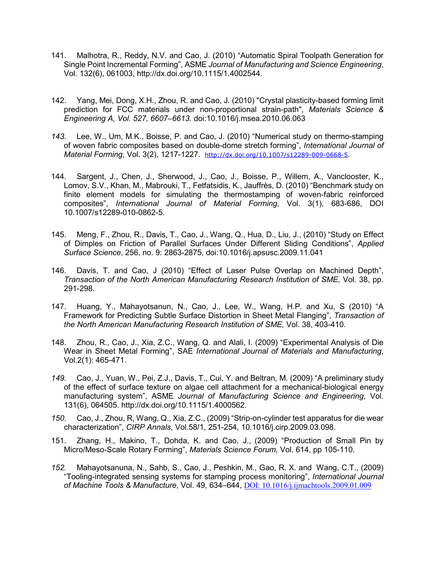- 141. Malhotra, R., Reddy, N.V. and Cao, J. (2010) "Automatic Spiral Toolpath Generation for Single Point Incremental Forming", ASME *Journal of Manufacturing and Science Engineering*, Vol. 132(6), 061003, http://dx.doi.org/10.1115/1.4002544.
- 142. Yang, Mei, Dong, X.H., Zhou, R. and Cao, J. (2010) "Crystal plasticity-based forming limit prediction for FCC materials under non-proportional strain-path", *Materials Science & Engineering A, Vol. 527, 6607–6613.* doi:10.1016/j.msea.2010.06.063
- *143.* Lee, W., Um, M.K., Boisse, P. and Cao, J. (2010) "Numerical study on thermo-stamping of woven fabric composites based on double-dome stretch forming", *International Journal of Material Forming*, Vol. 3(2), 1217-1227. [http://dx.doi.org/10.1007/s12289-009-0668-5.](http://dx.doi.org/10.1007/s12289-009-0668-5)
- 144. Sargent, J., Chen, J., Sherwood, J., Cao, J., Boisse, P., Willem, A., Vanclooster, K., Lomov, S.V., Khan, M., Mabrouki, T., Fetfatsidis, K., Jauffrès, D. (2010) "Benchmark study on finite element models for simulating the thermostamping of woven-fabric reinforced composites", *International Journal of Material Forming*, Vol. 3(1), 683-686, DOI 10.1007/s12289-010-0862-5.
- 145. Meng, F., Zhou, R., Davis, T., Cao, J., Wang, Q., Hua, D., Liu, J., (2010) "Study on Effect of Dimples on Friction of Parallel Surfaces Under Different Sliding Conditions", *Applied Surface Science*, 256, no. 9: 2863-2875, doi:10.1016/j.apsusc.2009.11.041
- 146. Davis, T. and Cao, J (2010) "Effect of Laser Pulse Overlap on Machined Depth", *Transaction of the North American Manufacturing Research Institution of SME,* Vol. 38, pp. 291-298.
- 147. Huang, Y., Mahayotsanun, N., Cao, J., Lee, W., Wang, H.P. and Xu, S (2010) "A Framework for Predicting Subtle Surface Distortion in Sheet Metal Flanging", *Transaction of the North American Manufacturing Research Institution of SME,* Vol. 38, 403-410.
- 148. Zhou, R., Cao, J., Xia, Z.C., Wang, Q. and Alali, I. (2009) "Experimental Analysis of Die Wear in Sheet Metal Forming", SAE *International Journal of Materials and Manufacturing*, Vol.2(1): 465-471.
- *149.* Cao, J., Yuan, W., Pei, Z.J., Davis, T., Cui, Y. and Beltran, M. (2009) "A preliminary study of the effect of surface texture on algae cell attachment for a mechanical-biological energy manufacturing system", ASME *Journal of Manufacturing Science and Engineering*, Vol. 131(6), 064505. [http://dx.doi.org/10.1115/1.4000562.](http://dx.doi.org/10.1115/1.4000562)
- *150.* Cao, J., Zhou, R, Wang, Q., Xia, Z.C., (2009) "Strip-on-cylinder test apparatus for die wear characterization", *CIRP Annals*, Vol.58/1, 251-254, 10.1016/j.cirp.2009.03.098.
- 151. Zhang, H., Makino, T., Dohda, K. and Cao, J., (2009) "Production of Small Pin by Micro/Meso-Scale Rotary Forming", *Materials Science Forum,* Vol. 614, pp 105-110.
- *152.* Mahayotsanuna, N., Sahb, S., Cao, J., Peshkin, M., Gao, R. X. and Wang, C.T., (2009) "Tooling-integrated sensing systems for stamping process monitoring", *International Journal of Machine Tools & Manufacture*, Vol. 49, 634–644, [DOI: 10.1016/j.ijmachtools.2009.01.009](http://dx.doi.org/10.1016/j.ijmachtools.2009.01.009)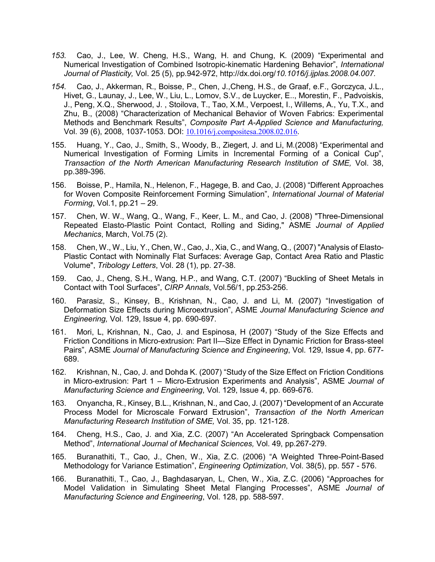- *153.* Cao, J., Lee, W. Cheng, H.S., Wang, H. and Chung, K. (2009) "Experimental and Numerical Investigation of Combined Isotropic-kinematic Hardening Behavior", *International Journal of Plasticity,* Vol. 25 (5), pp.942-972, http://dx.doi.org/*10.1016/j.ijplas.2008.04.007.*
- *154.* Cao, J., Akkerman, R., Boisse, P., Chen, J.,Cheng, H.S., de Graaf, e.F., Gorczyca, J.L., Hivet, G., Launay, J., Lee, W., Liu, L., Lomov, S.V., de Luycker, E.., Morestin, F., Padvoiskis, J., Peng, X.Q., Sherwood, J. , Stoilova, T., Tao, X.M., Verpoest, I., Willems, A., Yu, T.X., and Zhu, B., (2008) "Characterization of Mechanical Behavior of Woven Fabrics: Experimental Methods and Benchmark Results", *Composite Part A-Applied Science and Manufacturing,* Vol. 39 (6), 2008, 1037-1053. DOI: [10.1016/j.compositesa.2008.02.016](http://dx.doi.org/10.1016/j.compositesa.2008.02.016).
- 155. Huang, Y., Cao, J., Smith, S., Woody, B., Ziegert, J. and Li, M.(2008) "Experimental and Numerical Investigation of Forming Limits in Incremental Forming of a Conical Cup", *Transaction of the North American Manufacturing Research Institution of SME,* Vol. 38, pp.389-396.
- 156. Boisse, P., Hamila, N., Helenon, F., Hagege, B. and Cao, J. (2008) "Different Approaches for Woven Composite Reinforcement Forming Simulation", *International Journal of Material Forming*, Vol.1, pp.21 – 29.
- 157. Chen, W. W., Wang, Q., Wang, F., Keer, L. M., and Cao, J. (2008) "Three-Dimensional Repeated Elasto-Plastic Point Contact, Rolling and Siding," ASME *Journal of Applied Mechanics*, March, Vol.75 (2).
- 158. Chen, W., W., Liu, Y., Chen, W., Cao, J., Xia, C., and Wang, Q., (2007) "Analysis of Elasto-Plastic Contact with Nominally Flat Surfaces: Average Gap, Contact Area Ratio and Plastic Volume", *Tribology Letters*, Vol. 28 (1), pp. 27-38.
- 159. Cao, J., Cheng, S.H., Wang, H.P., and Wang, C.T. (2007) "Buckling of Sheet Metals in Contact with Tool Surfaces", *CIRP Annals*, Vol.56/1, pp.253-256.
- 160. Parasiz, S., Kinsey, B., Krishnan, N., Cao, J. and Li, M. (2007) "Investigation of Deformation Size Effects during Microextrusion", ASME *Journal Manufacturing Science and Engineering,* Vol. 129, Issue 4, pp. 690-697.
- 161. Mori, L, Krishnan, N., Cao, J. and Espinosa, H (2007) "Study of the Size Effects and Friction Conditions in Micro-extrusion: Part II—Size Effect in Dynamic Friction for Brass-steel Pairs", ASME *Journal of Manufacturing Science and Engineering*, Vol. 129, Issue 4, pp. 677- 689.
- 162. Krishnan, N., Cao, J. and Dohda K. (2007) "Study of the Size Effect on Friction Conditions in Micro-extrusion: Part 1 – Micro-Extrusion Experiments and Analysis", ASME *Journal of Manufacturing Science and Engineering*, Vol. 129, Issue 4, pp. 669-676.
- 163. Onyancha, R., Kinsey, B.L., Krishnan, N., and Cao, J. (2007) "Development of an Accurate Process Model for Microscale Forward Extrusion", *Transaction of the North American Manufacturing Research Institution of SME,* Vol. 35, pp. 121-128.
- 164. Cheng, H.S., Cao, J. and Xia, Z.C. (2007) "An Accelerated Springback Compensation Method", *International Journal of Mechanical Sciences,* Vol. 49, pp.267-279.
- 165. Buranathiti, T., Cao, J., Chen, W., Xia, Z.C. (2006) "A Weighted Three-Point-Based Methodology for Variance Estimation", *Engineering Optimization*, Vol. 38(5), pp. 557 - 576.
- 166. Buranathiti, T., Cao, J., Baghdasaryan, L, Chen, W., Xia, Z.C. (2006) "Approaches for Model Validation in Simulating Sheet Metal Flanging Processes", ASME *Journal of Manufacturing Science and Engineering*, Vol. 128, pp. 588-597.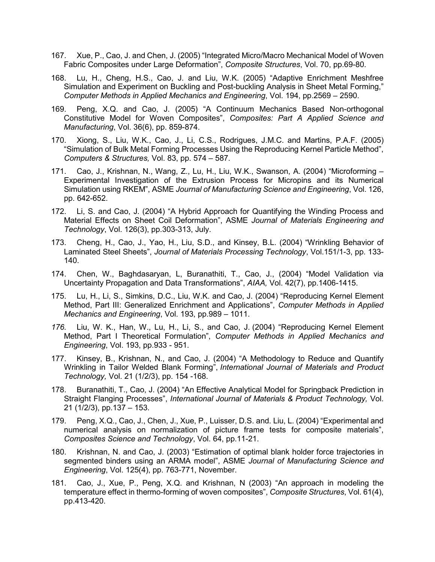- 167. Xue, P., Cao, J. and Chen, J. (2005) "Integrated Micro/Macro Mechanical Model of Woven Fabric Composites under Large Deformation", *Composite Structures*, Vol. 70, pp.69-80.
- 168. Lu, H., Cheng, H.S., Cao, J. and Liu, W.K. (2005) "Adaptive Enrichment Meshfree Simulation and Experiment on Buckling and Post-buckling Analysis in Sheet Metal Forming," *Computer Methods in Applied Mechanics and Engineering*, Vol. 194, pp.2569 – 2590.
- 169. Peng, X.Q. and Cao, J. (2005) "A Continuum Mechanics Based Non-orthogonal Constitutive Model for Woven Composites", *Composites: Part A Applied Science and Manufacturing*, Vol. 36(6), pp. 859-874.
- 170. Xiong, S., Liu, W.K., Cao, J., Li, C.S., Rodrigues, J.M.C. and Martins, P.A.F. (2005) "Simulation of Bulk Metal Forming Processes Using the Reproducing Kernel Particle Method", *Computers & Structures,* Vol. 83, pp. 574 – 587.
- 171. Cao, J., Krishnan, N., Wang, Z., Lu, H., Liu, W.K., Swanson, A. (2004) "Microforming Experimental Investigation of the Extrusion Process for Micropins and its Numerical Simulation using RKEM", ASME *Journal of Manufacturing Science and Engineering*, Vol. 126, pp. 642-652.
- 172. Li, S. and Cao, J. (2004) "A Hybrid Approach for Quantifying the Winding Process and Material Effects on Sheet Coil Deformation", ASME *Journal of Materials Engineering and Technology*, Vol. 126(3), pp.303-313, July.
- 173. Cheng, H., Cao, J., Yao, H., Liu, S.D., and Kinsey, B.L. (2004) "Wrinkling Behavior of Laminated Steel Sheets", *Journal of Materials Processing Technology*, Vol.151/1-3, pp. 133- 140.
- 174. Chen, W., Baghdasaryan, L, Buranathiti, T., Cao, J., (2004) "Model Validation via Uncertainty Propagation and Data Transformations", *AIAA,* Vol. 42(7), pp.1406-1415.
- 175. Lu, H., Li, S., Simkins, D.C., Liu, W.K. and Cao, J. (2004) "Reproducing Kernel Element Method, Part III: Generalized Enrichment and Applications", *Computer Methods in Applied Mechanics and Engineering*, Vol. 193, pp.989 – 1011.
- *176.* Liu, W. K., Han, W., Lu, H., Li, S., and Cao, J. (2004) "Reproducing Kernel Element Method, Part I Theoretical Formulation", *Computer Methods in Applied Mechanics and Engineering*, Vol. 193, pp.933 - 951.
- 177. Kinsey, B., Krishnan, N., and Cao, J. (2004) "A Methodology to Reduce and Quantify Wrinkling in Tailor Welded Blank Forming", *International Journal of Materials and Product Technology,* Vol. 21 (1/2/3), pp. 154 -168.
- 178. Buranathiti, T., Cao, J. (2004) "An Effective Analytical Model for Springback Prediction in Straight Flanging Processes", *International Journal of Materials & Product Technology,* Vol. 21 (1/2/3), pp.137 – 153.
- 179. Peng, X.Q., Cao, J., Chen, J., Xue, P., Luisser, D.S. and. Liu, L. (2004) "Experimental and numerical analysis on normalization of picture frame tests for composite materials", *Composites Science and Technology*, Vol. 64, pp.11-21.
- 180. Krishnan, N. and Cao, J. (2003) "Estimation of optimal blank holder force trajectories in segmented binders using an ARMA model", ASME *Journal of Manufacturing Science and Engineering*, Vol. 125(4), pp. 763-771, November.
- 181. Cao, J., Xue, P., Peng, X.Q. and Krishnan, N (2003) "An approach in modeling the temperature effect in thermo-forming of woven composites", *Composite Structures*, Vol. 61(4), pp.413-420.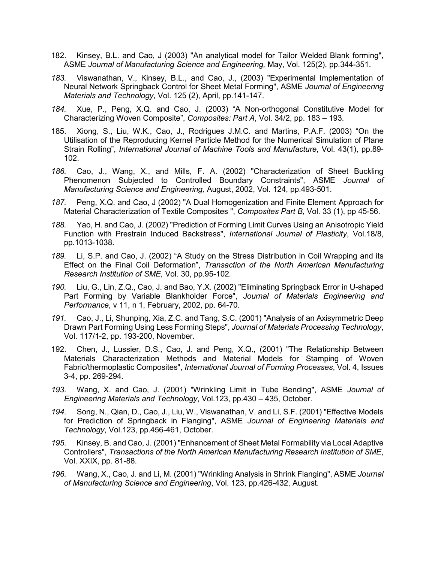- 182. Kinsey, B.L. and Cao, J (2003) "An analytical model for Tailor Welded Blank forming", ASME *Journal of Manufacturing Science and Engineering,* May, Vol. 125(2), pp.344-351.
- *183.* Viswanathan, V., Kinsey, B.L., and Cao, J., (2003) "Experimental Implementation of Neural Network Springback Control for Sheet Metal Forming", ASME *Journal of Engineering Materials and Technology*, Vol. 125 (2), April, pp.141-147.
- *184.* Xue, P., Peng, X.Q. and Cao, J. (2003) "A Non-orthogonal Constitutive Model for Characterizing Woven Composite", *Composites: Part A*, Vol. 34/2, pp. 183 – 193.
- 185. Xiong, S., Liu, W.K., Cao, J., Rodrigues J.M.C. and Martins, P.A.F. (2003) "On the Utilisation of the Reproducing Kernel Particle Method for the Numerical Simulation of Plane Strain Rolling", *International Journal of Machine Tools and Manufacture*, Vol. 43(1), pp.89- 102.
- *186.* Cao, J., Wang, X., and Mills, F. A. (2002) "Characterization of Sheet Buckling Phenomenon Subjected to Controlled Boundary Constraints", ASME *Journal of Manufacturing Science and Engineering,* August, 2002, Vol. 124, pp.493-501.
- *187.* Peng, X.Q. and Cao, J (2002) "A Dual Homogenization and Finite Element Approach for Material Characterization of Textile Composites ", *Composites Part B,* Vol. 33 (1), pp 45-56.
- *188.* Yao, H. and Cao, J. (2002) "Prediction of Forming Limit Curves Using an Anisotropic Yield Function with Prestrain Induced Backstress", *International Journal of Plasticity*, Vol.18/8, pp.1013-1038.
- *189.* Li, S.P. and Cao, J. (2002) "A Study on the Stress Distribution in Coil Wrapping and its Effect on the Final Coil Deformation", *Transaction of the North American Manufacturing Research Institution of SME,* Vol. 30, pp.95-102*.*
- *190.* Liu, G., Lin, Z.Q., Cao, J. and Bao, Y.X. (2002) "Eliminating Springback Error in U-shaped Part Forming by Variable Blankholder Force", *Journal of Materials Engineering and Performance*, v 11, n 1, February, 2002, pp. 64-70.
- *191.* Cao, J., Li, Shunping, Xia, Z.C. and Tang, S.C. (2001) "Analysis of an Axisymmetric Deep Drawn Part Forming Using Less Forming Steps", *Journal of Materials Processing Technology*, Vol. 117/1-2, pp. 193-200, November.
- 192. Chen, J., Lussier, D.S., Cao, J. and Peng, X.Q., (2001) "The Relationship Between Materials Characterization Methods and Material Models for Stamping of Woven Fabric/thermoplastic Composites", *International Journal of Forming Processes*, Vol. 4, Issues 3-4, pp. 269-294.
- *193.* Wang, X. and Cao, J. (2001) "Wrinkling Limit in Tube Bending", ASME *Journal of Engineering Materials and Technology*, Vol.123, pp.430 – 435, October.
- *194.* Song, N., Qian, D., Cao, J., Liu, W., Viswanathan, V. and Li, S.F. (2001) "Effective Models for Prediction of Springback in Flanging", ASME *Journal of Engineering Materials and Technology*, Vol.123, pp.456-461, October.
- *195.* Kinsey, B. and Cao, J. (2001) "Enhancement of Sheet Metal Formability via Local Adaptive Controllers", *Transactions of the North American Manufacturing Research Institution of SME*, Vol. XXIX, pp. 81-88.
- *196.* Wang, X., Cao, J. and Li, M. (2001) "Wrinkling Analysis in Shrink Flanging", ASME *Journal of Manufacturing Science and Engineering*, Vol. 123, pp.426-432, August.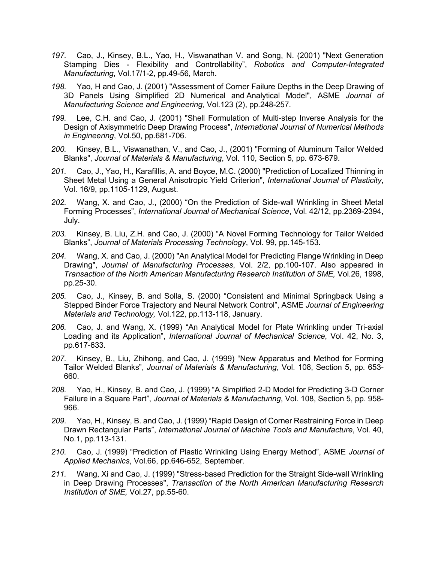- *197.* Cao, J., Kinsey, B.L., Yao, H., Viswanathan V. and Song, N. (2001) "Next Generation Stamping Dies - Flexibility and Controllability", *Robotics and Computer-Integrated Manufacturing*, Vol.17/1-2, pp.49-56, March.
- *198.* Yao, H and Cao, J. (2001) "Assessment of Corner Failure Depths in the Deep Drawing of 3D Panels Using Simplified 2D Numerical and Analytical Model", ASME *Journal of Manufacturing Science and Engineering,* Vol.123 (2), pp.248-257.
- *199.* Lee, C.H. and Cao, J. (2001) "Shell Formulation of Multi-step Inverse Analysis for the Design of Axisymmetric Deep Drawing Process", *International Journal of Numerical Methods in Engineering*, Vol.50, pp.681-706.
- *200.* Kinsey, B.L., Viswanathan, V., and Cao, J., (2001) "Forming of Aluminum Tailor Welded Blanks", *Journal of Materials & Manufacturing*, Vol. 110, Section 5, pp. 673-679.
- *201.* Cao, J., Yao, H., Karafillis, A. and Boyce, M.C. (2000) "Prediction of Localized Thinning in Sheet Metal Using a General Anisotropic Yield Criterion", *International Journal of Plasticity*, Vol. 16/9, pp.1105-1129, August.
- *202.* Wang, X. and Cao, J., (2000) "On the Prediction of Side-wall Wrinkling in Sheet Metal Forming Processes", *International Journal of Mechanical Science*, Vol. 42/12, pp.2369-2394, July.
- *203.* Kinsey, B. Liu, Z.H. and Cao, J. (2000) "A Novel Forming Technology for Tailor Welded Blanks", *Journal of Materials Processing Technology*, Vol. 99, pp.145-153.
- *204.* Wang, X. and Cao, J. (2000) "An Analytical Model for Predicting Flange Wrinkling in Deep Drawing", *Journal of Manufacturing Processes*, Vol. 2/2, pp.100-107. Also appeared in *Transaction of the North American Manufacturing Research Institution of SME,* Vol.26, 1998, pp.25-30.
- *205.* Cao, J., Kinsey, B. and Solla, S. (2000) "Consistent and Minimal Springback Using a Stepped Binder Force Trajectory and Neural Network Control", ASME *Journal of Engineering Materials and Technology,* Vol.122, pp.113-118, January.
- *206.* Cao, J. and Wang, X. (1999) "An Analytical Model for Plate Wrinkling under Tri-axial Loading and its Application", *International Journal of Mechanical Science*, Vol. 42, No. 3, pp.617-633.
- *207.* Kinsey, B., Liu, Zhihong, and Cao, J. (1999) "New Apparatus and Method for Forming Tailor Welded Blanks", *Journal of Materials & Manufacturing*, Vol. 108, Section 5, pp. 653- 660.
- *208.* Yao, H., Kinsey, B. and Cao, J. (1999) "A Simplified 2-D Model for Predicting 3-D Corner Failure in a Square Part", *Journal of Materials & Manufacturing*, Vol. 108, Section 5, pp. 958- 966.
- *209.* Yao, H., Kinsey, B. and Cao, J. (1999) "Rapid Design of Corner Restraining Force in Deep Drawn Rectangular Parts", *International Journal of Machine Tools and Manufacture*, Vol. 40, No.1, pp.113-131.
- *210.* Cao, J. (1999) "Prediction of Plastic Wrinkling Using Energy Method", ASME *Journal of Applied Mechanics*, Vol.66, pp.646-652, September.
- *211.* Wang, Xi and Cao, J. (1999) "Stress-based Prediction for the Straight Side-wall Wrinkling in Deep Drawing Processes", *Transaction of the North American Manufacturing Research Institution of SME,* Vol.27, pp.55-60.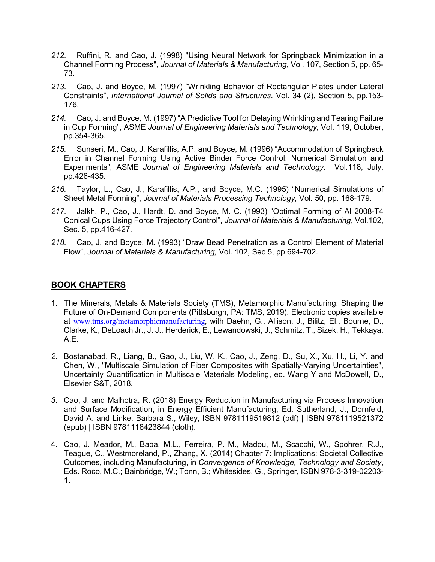- *212.* Ruffini, R. and Cao, J. (1998) "Using Neural Network for Springback Minimization in a Channel Forming Process", *Journal of Materials & Manufacturing*, Vol. 107, Section 5, pp. 65- 73.
- *213.* Cao, J. and Boyce, M. (1997) "Wrinkling Behavior of Rectangular Plates under Lateral Constraints", *International Journal of Solids and Structures*. Vol. 34 (2), Section 5, pp.153- 176.
- *214.* Cao, J. and Boyce, M. (1997) "A Predictive Tool for Delaying Wrinkling and Tearing Failure in Cup Forming", ASME *Journal of Engineering Materials and Technology,* Vol. 119, October, pp.354-365.
- *215.* Sunseri, M., Cao, J, Karafillis, A.P. and Boyce, M. (1996) "Accommodation of Springback Error in Channel Forming Using Active Binder Force Control: Numerical Simulation and Experiments", ASME *Journal of Engineering Materials and Technology.* Vol.118, July, pp.426-435.
- *216.* Taylor, L., Cao, J., Karafillis, A.P., and Boyce, M.C. (1995) "Numerical Simulations of Sheet Metal Forming", *Journal of Materials Processing Technology,* Vol. 50, pp. 168-179.
- *217.* Jalkh, P., Cao, J., Hardt, D. and Boyce, M. C. (1993) "Optimal Forming of Al 2008-T4 Conical Cups Using Force Trajectory Control", *Journal of Materials & Manufacturing*, Vol.102, Sec. 5, pp.416-427.
- *218.* Cao, J. and Boyce, M. (1993) "Draw Bead Penetration as a Control Element of Material Flow", *Journal of Materials & Manufacturing,* Vol. 102, Sec 5, pp.694-702.

### **BOOK CHAPTERS**

- 1. The Minerals, Metals & Materials Society (TMS), Metamorphic Manufacturing: Shaping the Future of On-Demand Components (Pittsburgh, PA: TMS, 2019). Electronic copies available at [www.tms.org/metamorphicmanufacturing](http://www.tms.org/metamorphicmanufacturing), with Daehn, G., Allison, J., Bilitz, El., Bourne, D., Clarke, K., DeLoach Jr., J. J., Herderick, E., Lewandowski, J., Schmitz, T., Sizek, H., Tekkaya, A.E.
- *2.* Bostanabad, R., Liang, B., Gao, J., Liu, W. K., Cao, J., Zeng, D., Su, X., Xu, H., Li, Y. and Chen, W., "Multiscale Simulation of Fiber Composites with Spatially-Varying Uncertainties", Uncertainty Quantification in Multiscale Materials Modeling, ed. Wang Y and McDowell, D., Elsevier S&T, 2018*.*
- *3.* Cao, J. and Malhotra, R. (2018) Energy Reduction in Manufacturing via Process Innovation and Surface Modification, in Energy Efficient Manufacturing, Ed. Sutherland, J., Dornfeld, David A. and Linke, Barbara S., Wiley, ISBN 9781119519812 (pdf) | ISBN 9781119521372 (epub) | ISBN 9781118423844 (cloth).
- 4. Cao, J. Meador, M., Baba, M.L., Ferreira, P. M., Madou, M., Scacchi, W., Spohrer, R.J., Teague, C., Westmoreland, P., Zhang, X. (2014) Chapter 7: Implications: Societal Collective Outcomes, including Manufacturing, in *Convergence of Knowledge, Technology and Society*, Eds. Roco, M.C.; Bainbridge, W.; Tonn, B.; Whitesides, G., Springer, ISBN 978-3-319-02203- 1.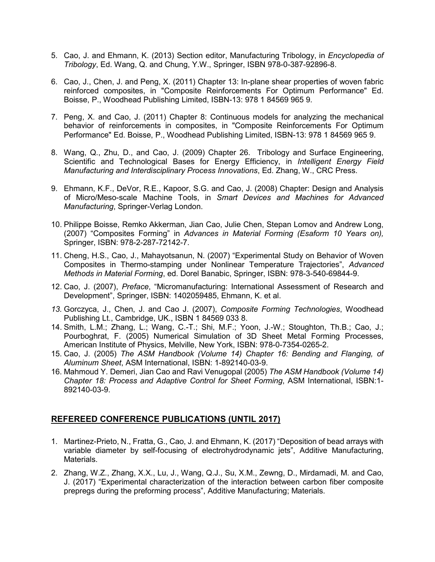- 5. Cao, J. and Ehmann, K. (2013) Section editor, Manufacturing Tribology, in *Encyclopedia of Tribology*, Ed. Wang, Q. and Chung, Y.W., Springer, ISBN 978-0-387-92896-8.
- 6. Cao, J., Chen, J. and Peng, X. (2011) Chapter 13: In-plane shear properties of woven fabric reinforced composites, in "Composite Reinforcements For Optimum Performance" Ed. Boisse, P., Woodhead Publishing Limited, ISBN-13: 978 1 84569 965 9.
- 7. Peng, X. and Cao, J. (2011) Chapter 8: Continuous models for analyzing the mechanical behavior of reinforcements in composites, in "Composite Reinforcements For Optimum Performance" Ed. Boisse, P., Woodhead Publishing Limited, ISBN-13: 978 1 84569 965 9.
- 8. Wang, Q., Zhu, D., and Cao, J. (2009) Chapter 26. Tribology and Surface Engineering, Scientific and Technological Bases for Energy Efficiency, in *Intelligent Energy Field Manufacturing and Interdisciplinary Process Innovations*, Ed. Zhang, W., CRC Press.
- 9. Ehmann, K.F., DeVor, R.E., Kapoor, S.G. and Cao, J. (2008) Chapter: Design and Analysis of Micro/Meso-scale Machine Tools, in *Smart Devices and Machines for Advanced Manufacturing*, Springer-Verlag London.
- 10. Philippe Boisse, Remko Akkerman, Jian Cao, Julie Chen, Stepan Lomov and Andrew Long, (2007) "Composites Forming" in *Advances in Material Forming (Esaform 10 Years on),*  Springer, ISBN: 978-2-287-72142-7.
- 11. Cheng, H.S., Cao, J., Mahayotsanun, N. (2007) "Experimental Study on Behavior of Woven Composites in Thermo-stamping under Nonlinear Temperature Trajectories", *Advanced Methods in Material Forming*, ed. Dorel Banabic, Springer, ISBN: 978-3-540-69844-9.
- 12. Cao, J. (2007), *Preface*, "Micromanufacturing: International Assessment of Research and Development", Springer, ISBN: 1402059485, Ehmann, K. et al.
- *13.* Gorczyca, J., Chen, J. and Cao J. (2007), *Composite Forming Technologies*, Woodhead Publishing Lt., Cambridge, UK., ISBN 1 84569 033 8.
- 14. Smith, L.M.; Zhang, L.; Wang, C.-T.; Shi, M.F.; Yoon, J.-W.; Stoughton, Th.B.; Cao, J.; Pourboghrat, F. (2005) Numerical Simulation of 3D Sheet Metal Forming Processes, American Institute of Physics, Melville, New York, ISBN: 978-0-7354-0265-2.
- 15. Cao, J. (2005) *The ASM Handbook (Volume 14) Chapter 16: Bending and Flanging, of Aluminum Sheet*, ASM International, ISBN: 1-892140-03-9.
- 16. Mahmoud Y. Demeri, Jian Cao and Ravi Venugopal (2005) *The ASM Handbook (Volume 14) Chapter 18: Process and Adaptive Control for Sheet Forming*, ASM International, ISBN:1- 892140-03-9.

### **REFEREED CONFERENCE PUBLICATIONS (UNTIL 2017)**

- 1. Martinez-Prieto, N., Fratta, G., Cao, J. and Ehmann, K. (2017) "Deposition of bead arrays with variable diameter by self-focusing of electrohydrodynamic jets", Additive Manufacturing, Materials.
- 2. Zhang, W.Z., Zhang, X.X., Lu, J., Wang, Q.J., Su, X.M., Zewng, D., Mirdamadi, M. and Cao, J. (2017) "Experimental characterization of the interaction between carbon fiber composite prepregs during the preforming process", Additive Manufacturing; Materials.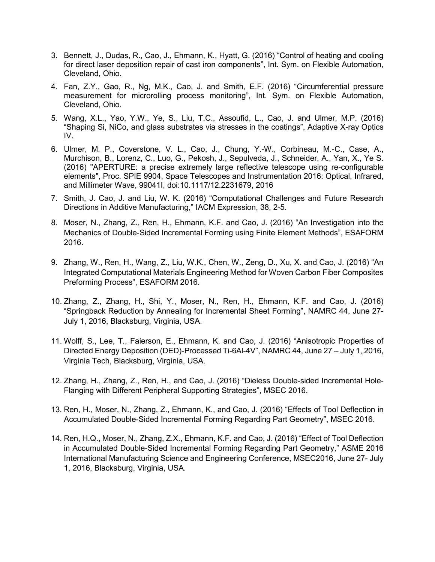- 3. Bennett, J., Dudas, R., Cao, J., Ehmann, K., Hyatt, G. (2016) "Control of heating and cooling for direct laser deposition repair of cast iron components", Int. Sym. on Flexible Automation, Cleveland, Ohio.
- 4. Fan, Z.Y., Gao, R., Ng, M.K., Cao, J. and Smith, E.F. (2016) "Circumferential pressure measurement for microrolling process monitoring", Int. Sym. on Flexible Automation, Cleveland, Ohio.
- 5. Wang, X.L., Yao, Y.W., Ye, S., Liu, T.C., Assoufid, L., Cao, J. and Ulmer, M.P. (2016) "Shaping Si, NiCo, and glass substrates via stresses in the coatings", Adaptive X-ray Optics IV.
- 6. Ulmer, M. P., Coverstone, V. L., Cao, J., Chung, Y.-W., Corbineau, M.-C., Case, A., Murchison, B., Lorenz, C., Luo, G., Pekosh, J., Sepulveda, J., Schneider, A., Yan, X., Ye S. (2016) "APERTURE: a precise extremely large reflective telescope using re-configurable elements", Proc. SPIE 9904, Space Telescopes and Instrumentation 2016: Optical, Infrared, and Millimeter Wave, 99041I, doi:10.1117/12.2231679, 2016
- 7. Smith, J. Cao, J. and Liu, W. K. (2016) "Computational Challenges and Future Research Directions in Additive Manufacturing," IACM Expression, 38, 2-5.
- 8. Moser, N., Zhang, Z., Ren, H., Ehmann, K.F. and Cao, J. (2016) "An Investigation into the Mechanics of Double-Sided Incremental Forming using Finite Element Methods", ESAFORM 2016.
- 9. Zhang, W., Ren, H., Wang, Z., Liu, W.K., Chen, W., Zeng, D., Xu, X. and Cao, J. (2016) "An Integrated Computational Materials Engineering Method for Woven Carbon Fiber Composites Preforming Process", ESAFORM 2016.
- 10. Zhang, Z., Zhang, H., Shi, Y., Moser, N., Ren, H., Ehmann, K.F. and Cao, J. (2016) "Springback Reduction by Annealing for Incremental Sheet Forming", NAMRC 44, June 27- July 1, 2016, Blacksburg, Virginia, USA.
- 11. Wolff, S., Lee, T., Faierson, E., Ehmann, K. and Cao, J. (2016) "Anisotropic Properties of Directed Energy Deposition (DED)-Processed Ti-6Al-4V", NAMRC 44, June 27 – July 1, 2016, Virginia Tech, Blacksburg, Virginia, USA.
- 12. Zhang, H., Zhang, Z., Ren, H., and Cao, J. (2016) "Dieless Double-sided Incremental Hole-Flanging with Different Peripheral Supporting Strategies", MSEC 2016.
- 13. Ren, H., Moser, N., Zhang, Z., Ehmann, K., and Cao, J. (2016) "Effects of Tool Deflection in Accumulated Double-Sided Incremental Forming Regarding Part Geometry", MSEC 2016.
- 14. Ren, H.Q., Moser, N., Zhang, Z.X., Ehmann, K.F. and Cao, J. (2016) "Effect of Tool Deflection in Accumulated Double-Sided Incremental Forming Regarding Part Geometry," ASME 2016 International Manufacturing Science and Engineering Conference, MSEC2016, June 27- July 1, 2016, Blacksburg, Virginia, USA.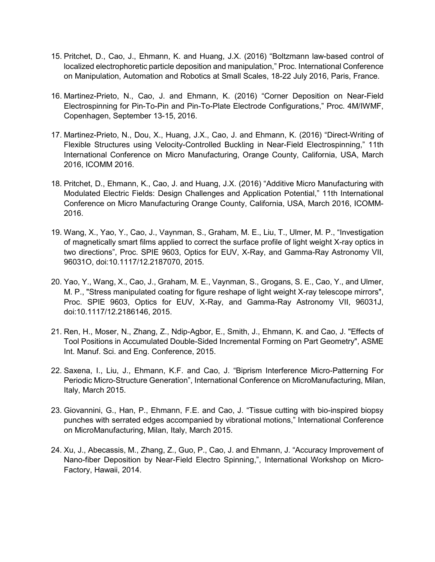- 15. Pritchet, D., Cao, J., Ehmann, K. and Huang, J.X. (2016) "Boltzmann law-based control of localized electrophoretic particle deposition and manipulation," Proc. International Conference on Manipulation, Automation and Robotics at Small Scales, 18-22 July 2016, Paris, France.
- 16. Martinez-Prieto, N., Cao, J. and Ehmann, K. (2016) "Corner Deposition on Near-Field Electrospinning for Pin-To-Pin and Pin-To-Plate Electrode Configurations," Proc. 4M/IWMF, Copenhagen, September 13-15, 2016.
- 17. Martinez-Prieto, N., Dou, X., Huang, J.X., Cao, J. and Ehmann, K. (2016) "Direct-Writing of Flexible Structures using Velocity-Controlled Buckling in Near-Field Electrospinning," 11th International Conference on Micro Manufacturing, Orange County, California, USA, March 2016, ICOMM 2016.
- 18. Pritchet, D., Ehmann, K., Cao, J. and Huang, J.X. (2016) "Additive Micro Manufacturing with Modulated Electric Fields: Design Challenges and Application Potential," 11th International Conference on Micro Manufacturing Orange County, California, USA, March 2016, ICOMM-2016.
- 19. Wang, X., Yao, Y., Cao, J., Vaynman, S., Graham, M. E., Liu, T., Ulmer, M. P., "Investigation of magnetically smart films applied to correct the surface profile of light weight X-ray optics in two directions", Proc. SPIE 9603, Optics for EUV, X-Ray, and Gamma-Ray Astronomy VII, 96031O, doi:10.1117/12.2187070, 2015.
- 20. Yao, Y., Wang, X., Cao, J., Graham, M. E., Vaynman, S., Grogans, S. E., Cao, Y., and Ulmer, M. P., "Stress manipulated coating for figure reshape of light weight X-ray telescope mirrors", Proc. SPIE 9603, Optics for EUV, X-Ray, and Gamma-Ray Astronomy VII, 96031J, doi:10.1117/12.2186146, 2015.
- 21. Ren, H., Moser, N., Zhang, Z., Ndip-Agbor, E., Smith, J., Ehmann, K. and Cao, J. "Effects of Tool Positions in Accumulated Double-Sided Incremental Forming on Part Geometry", ASME Int. Manuf. Sci. and Eng. Conference, 2015.
- 22. Saxena, I., Liu, J., Ehmann, K.F. and Cao, J. "Biprism Interference Micro-Patterning For Periodic Micro-Structure Generation", International Conference on MicroManufacturing, Milan, Italy, March 2015.
- 23. Giovannini, G., Han, P., Ehmann, F.E. and Cao, J. "Tissue cutting with bio-inspired biopsy punches with serrated edges accompanied by vibrational motions," International Conference on MicroManufacturing, Milan, Italy, March 2015.
- 24. Xu, J., Abecassis, M., Zhang, Z., Guo, P., Cao, J. and Ehmann, J. "Accuracy Improvement of Nano-fiber Deposition by Near-Field Electro Spinning,", International Workshop on Micro-Factory, Hawaii, 2014.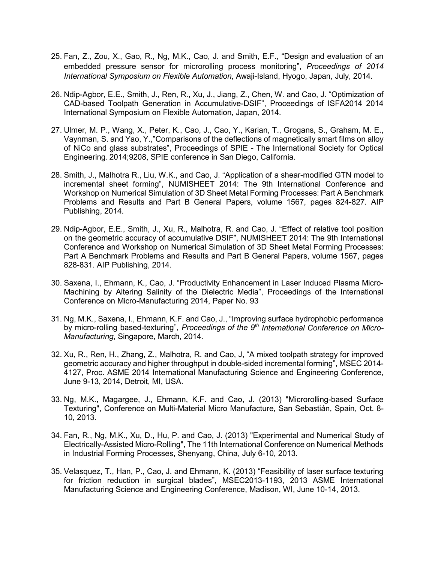- 25. Fan, Z., Zou, X., Gao, R., Ng, M.K., Cao, J. and Smith, E.F., "Design and evaluation of an embedded pressure sensor for microrolling process monitoring", *Proceedings of 2014 International Symposium on Flexible Automation*, Awaji-Island, Hyogo, Japan, July, 2014.
- 26. Ndip-Agbor, E.E., Smith, J., Ren, R., Xu, J., Jiang, Z., Chen, W. and Cao, J. "Optimization of CAD-based Toolpath Generation in Accumulative-DSIF", Proceedings of ISFA2014 2014 International Symposium on Flexible Automation, Japan, 2014.
- 27. Ulmer, M. P., Wang, X., Peter, K., Cao, J., Cao, Y., Karian, T., Grogans, S., Graham, M. E., Vaynman, S. and Yao, Y.,"Comparisons of the deflections of magnetically smart films on alloy of NiCo and glass substrates", Proceedings of SPIE - The International Society for Optical Engineering. 2014;9208, SPIE conference in San Diego, California.
- 28. Smith, J., Malhotra R., Liu, W.K., and Cao, J. "Application of a shear-modified GTN model to incremental sheet forming", NUMISHEET 2014: The 9th International Conference and Workshop on Numerical Simulation of 3D Sheet Metal Forming Processes: Part A Benchmark Problems and Results and Part B General Papers, volume 1567, pages 824-827. AIP Publishing, 2014.
- 29. Ndip-Agbor, E.E., Smith, J., Xu, R., Malhotra, R. and Cao, J. "Effect of relative tool position on the geometric accuracy of accumulative DSIF", NUMISHEET 2014: The 9th International Conference and Workshop on Numerical Simulation of 3D Sheet Metal Forming Processes: Part A Benchmark Problems and Results and Part B General Papers, volume 1567, pages 828-831. AIP Publishing, 2014.
- 30. Saxena, I., Ehmann, K., Cao, J. "Productivity Enhancement in Laser Induced Plasma Micro-Machining by Altering Salinity of the Dielectric Media", Proceedings of the International Conference on Micro-Manufacturing 2014, Paper No. 93
- 31. Ng, M.K., Saxena, I., Ehmann, K.F. and Cao, J., "Improving surface hydrophobic performance by micro-rolling based-texturing", *Proceedings of the 9th International Conference on Micro-Manufacturing*, Singapore, March, 2014.
- 32. Xu, R., Ren, H., Zhang, Z., Malhotra, R. and Cao, J, "A mixed toolpath strategy for improved geometric accuracy and higher throughput in double-sided incremental forming", MSEC 2014- 4127, Proc. ASME 2014 International Manufacturing Science and Engineering Conference, June 9-13, 2014, Detroit, MI, USA.
- 33. Ng, M.K., Magargee, J., Ehmann, K.F. and Cao, J. (2013) "Microrolling-based Surface Texturing", Conference on Multi-Material Micro Manufacture, San Sebastián, Spain, Oct. 8- 10, 2013.
- 34. Fan, R., Ng, M.K., Xu, D., Hu, P. and Cao, J. (2013) "Experimental and Numerical Study of Electrically-Assisted Micro-Rolling", The 11th International Conference on Numerical Methods in Industrial Forming Processes, Shenyang, China, July 6-10, 2013.
- 35. Velasquez, T., Han, P., Cao, J. and Ehmann, K. (2013) "Feasibility of laser surface texturing for friction reduction in surgical blades", MSEC2013-1193, 2013 ASME International Manufacturing Science and Engineering Conference, Madison, WI, June 10-14, 2013.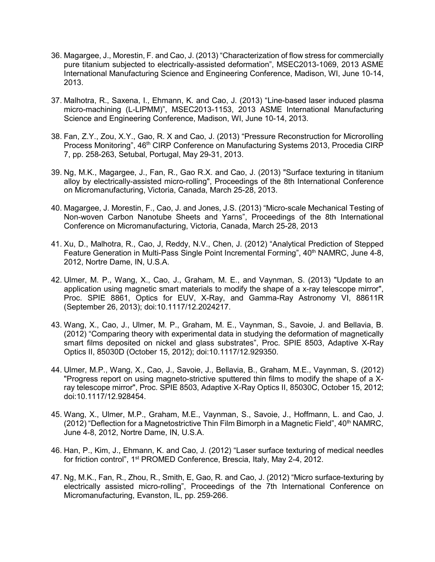- 36. Magargee, J., Morestin, F. and Cao, J. (2013) "Characterization of flow stress for commercially pure titanium subjected to electrically-assisted deformation", MSEC2013-1069, 2013 ASME International Manufacturing Science and Engineering Conference, Madison, WI, June 10-14, 2013.
- 37. Malhotra, R., Saxena, I., Ehmann, K. and Cao, J. (2013) "Line-based laser induced plasma micro-machining (L-LIPMM)", MSEC2013-1153, 2013 ASME International Manufacturing Science and Engineering Conference, Madison, WI, June 10-14, 2013.
- 38. Fan, Z.Y., Zou, X.Y., Gao, R. X and Cao, J. (2013) "Pressure Reconstruction for Microrolling Process Monitoring", 46<sup>th</sup> CIRP Conference on Manufacturing Systems 2013, Procedia CIRP 7, pp. 258-263, Setubal, Portugal, May 29-31, 2013.
- 39. Ng, M.K., Magargee, J., Fan, R., Gao R.X. and Cao, J. (2013) "Surface texturing in titanium alloy by electrically-assisted micro-rolling", Proceedings of the 8th International Conference on Micromanufacturing, Victoria, Canada, March 25-28, 2013.
- 40. Magargee, J. Morestin, F., Cao, J. and Jones, J.S. (2013) "Micro-scale Mechanical Testing of Non-woven Carbon Nanotube Sheets and Yarns", Proceedings of the 8th International Conference on Micromanufacturing, Victoria, Canada, March 25-28, 2013
- 41. Xu, D., Malhotra, R., Cao, J, Reddy, N.V., Chen, J. (2012) "Analytical Prediction of Stepped Feature Generation in Multi-Pass Single Point Incremental Forming", 40<sup>th</sup> NAMRC, June 4-8, 2012, Nortre Dame, IN, U.S.A.
- 42. Ulmer, M. P., Wang, X., Cao, J., Graham, M. E., and Vaynman, S. (2013) "Update to an application using magnetic smart materials to modify the shape of a x-ray telescope mirror", Proc. SPIE 8861, Optics for EUV, X-Ray, and Gamma-Ray Astronomy VI, 88611R (September 26, 2013); doi:10.1117/12.2024217.
- 43. Wang, X., Cao, J., Ulmer, M. P., Graham, M. E., Vaynman, S., Savoie, J. and Bellavia, B. (2012) "Comparing theory with experimental data in studying the deformation of magnetically smart films deposited on nickel and glass substrates", Proc. SPIE 8503, Adaptive X-Ray Optics II, 85030D (October 15, 2012); doi:10.1117/12.929350.
- 44. Ulmer, M.P., Wang, X., Cao, J., Savoie, J., Bellavia, B., Graham, M.E., Vaynman, S. (2012) "Progress report on using magneto-strictive sputtered thin films to modify the shape of a Xray telescope mirror", Proc. SPIE 8503, Adaptive X-Ray Optics II, 85030C, October 15, 2012; doi:10.1117/12.928454.
- 45. Wang, X., Ulmer, M.P., Graham, M.E., Vaynman, S., Savoie, J., Hoffmann, L. and Cao, J. (2012) "Deflection for a Magnetostrictive Thin Film Bimorph in a Magnetic Field",  $40<sup>th</sup> NAMRC$ , June 4-8, 2012, Nortre Dame, IN, U.S.A.
- 46. Han, P., Kim, J., Ehmann, K. and Cao, J. (2012) "Laser surface texturing of medical needles for friction control", 1<sup>st</sup> PROMED Conference, Brescia, Italy, May 2-4, 2012.
- 47. Ng, M.K., Fan, R., Zhou, R., Smith, E, Gao, R. and Cao, J. (2012) "Micro surface-texturing by electrically assisted micro-rolling", Proceedings of the 7th International Conference on Micromanufacturing, Evanston, IL, pp. 259-266.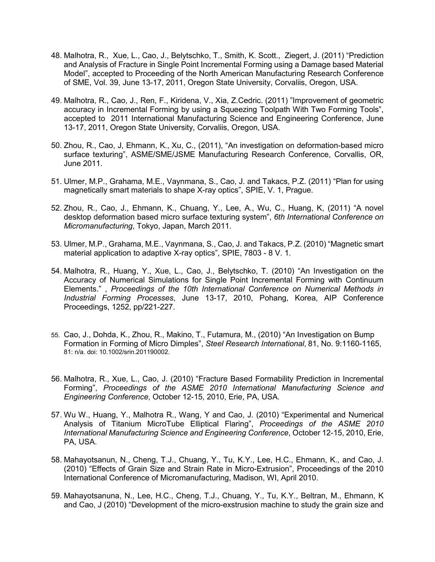- 48. Malhotra, R., Xue, L., Cao, J., Belytschko, T., Smith, K. Scott., Ziegert, J. (2011) "Prediction and Analysis of Fracture in Single Point Incremental Forming using a Damage based Material Model", accepted to Proceeding of the North American Manufacturing Research Conference of SME, Vol. 39, June 13-17, 2011, Oregon State University, Corvaliis, Oregon, USA.
- 49. Malhotra, R., Cao, J., Ren, F., Kiridena, V., Xia, Z.Cedric. (2011) "Improvement of geometric accuracy in Incremental Forming by using a Squeezing Toolpath With Two Forming Tools", accepted to 2011 International Manufacturing Science and Engineering Conference, June 13-17, 2011, Oregon State University, Corvaliis, Oregon, USA.
- 50. Zhou, R., Cao, J, Ehmann, K., Xu, C., (2011), "An investigation on deformation-based micro surface texturing", ASME/SME/JSME Manufacturing Research Conference, Corvallis, OR, June 2011.
- 51. Ulmer, M.P., Grahama, M.E., Vaynmana, S., Cao, J. and Takacs, P.Z. (2011) "Plan for using magnetically smart materials to shape X-ray optics", SPIE, V. 1, Prague.
- 52. Zhou, R., Cao, J., Ehmann, K., Chuang, Y., Lee, A., Wu, C., Huang, K, (2011) "A novel desktop deformation based micro surface texturing system", *6th International Conference on Micromanufacturing*, Tokyo, Japan, March 2011.
- 53. Ulmer, M.P., Grahama, M.E., Vaynmana, S., Cao, J. and Takacs, P.Z. (2010) "Magnetic smart material application to adaptive X-ray optics", SPIE, 7803 - 8 V. 1.
- 54. Malhotra, R., Huang, Y., Xue, L., Cao, J., Belytschko, T. (2010) "An Investigation on the Accuracy of Numerical Simulations for Single Point Incremental Forming with Continuum Elements." , *Proceedings of the 10th International Conference on Numerical Methods in Industrial Forming Processes*, June 13-17, 2010, Pohang, Korea, AIP Conference Proceedings, 1252, pp/221-227.
- 55. Cao, J., Dohda, K., Zhou, R., Makino, T., Futamura, M., (2010) "An Investigation on Bump Formation in Forming of Micro Dimples", *Steel Research International*, 81, No. 9:1160-1165, 81: n/a. doi: 10.1002/srin.201190002.
- 56. Malhotra, R., Xue, L., Cao, J. (2010) "Fracture Based Formability Prediction in Incremental Forming", *Proceedings of the ASME 2010 International Manufacturing Science and Engineering Conference*, October 12-15, 2010, Erie, PA, USA.
- 57. Wu W., Huang, Y., Malhotra R., Wang, Y and Cao, J. (2010) "Experimental and Numerical Analysis of Titanium MicroTube Elliptical Flaring", *Proceedings of the ASME 2010 International Manufacturing Science and Engineering Conference*, October 12-15, 2010, Erie, PA, USA.
- 58. Mahayotsanun, N., Cheng, T.J., Chuang, Y., Tu, K.Y., Lee, H.C., Ehmann, K., and Cao, J. (2010) "Effects of Grain Size and Strain Rate in Micro-Extrusion", Proceedings of the 2010 International Conference of Micromanufacturing, Madison, WI, April 2010.
- 59. Mahayotsanuna, N., Lee, H.C., Cheng, T.J., Chuang, Y., Tu, K.Y., Beltran, M., Ehmann, K and Cao, J (2010) "Development of the micro-exstrusion machine to study the grain size and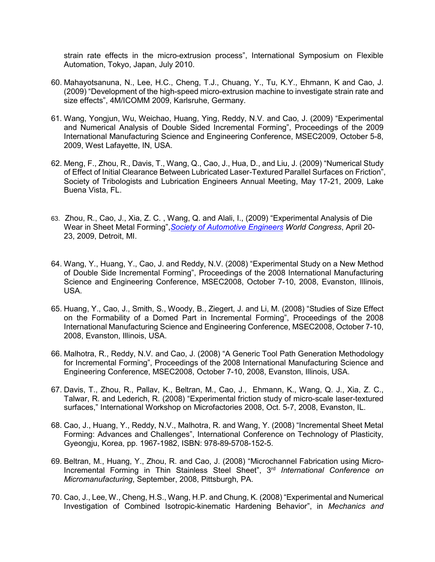strain rate effects in the micro-extrusion process", International Symposium on Flexible Automation, Tokyo, Japan, July 2010.

- 60. Mahayotsanuna, N., Lee, H.C., Cheng, T.J., Chuang, Y., Tu, K.Y., Ehmann, K and Cao, J. (2009) "Development of the high-speed micro-extrusion machine to investigate strain rate and size effects", 4M/ICOMM 2009, Karlsruhe, Germany.
- 61. Wang, Yongjun, Wu, Weichao, Huang, Ying, Reddy, N.V. and Cao, J. (2009) "Experimental and Numerical Analysis of Double Sided Incremental Forming", Proceedings of the 2009 International Manufacturing Science and Engineering Conference, MSEC2009, October 5-8, 2009, West Lafayette, IN, USA.
- 62. Meng, F., Zhou, R., Davis, T., Wang, Q., Cao, J., Hua, D., and Liu, J. (2009) "Numerical Study of Effect of Initial Clearance Between Lubricated Laser-Textured Parallel Surfaces on Friction", Society of Tribologists and Lubrication Engineers Annual Meeting, May 17-21, 2009, Lake Buena Vista, FL.
- 63. Zhou, R., Cao, J., Xia, Z. C. , Wang, Q. and Alali, I., (2009) "Experimental Analysis of Die Wear in Sheet Metal Forming",*[Society of Automotive Engineers](http://www.techstreet.com/info/sae.tmpl) World Congress*, April 20- 23, 2009, Detroit, MI.
- 64. Wang, Y., Huang, Y., Cao, J. and Reddy, N.V. (2008) "Experimental Study on a New Method of Double Side Incremental Forming", Proceedings of the 2008 International Manufacturing Science and Engineering Conference, MSEC2008, October 7-10, 2008, Evanston, Illinois, USA.
- 65. Huang, Y., Cao, J., Smith, S., Woody, B., Ziegert, J. and Li, M. (2008) "Studies of Size Effect on the Formability of a Domed Part in Incremental Forming", Proceedings of the 2008 International Manufacturing Science and Engineering Conference, MSEC2008, October 7-10, 2008, Evanston, Illinois, USA.
- 66. Malhotra, R., Reddy, N.V. and Cao, J. (2008) "A Generic Tool Path Generation Methodology for Incremental Forming", Proceedings of the 2008 International Manufacturing Science and Engineering Conference, MSEC2008, October 7-10, 2008, Evanston, Illinois, USA.
- 67. Davis, T., Zhou, R., Pallav, K., Beltran, M., Cao, J., Ehmann, K., Wang, Q. J., Xia, Z. C., Talwar, R. and Lederich, R. (2008) "Experimental friction study of micro-scale laser-textured surfaces," International Workshop on Microfactories 2008, Oct. 5-7, 2008, Evanston, IL.
- 68. Cao, J., Huang, Y., Reddy, N.V., Malhotra, R. and Wang, Y. (2008) "Incremental Sheet Metal Forming: Advances and Challenges", International Conference on Technology of Plasticity, Gyeongju, Korea, pp. 1967-1982, ISBN: 978-89-5708-152-5.
- 69. Beltran, M., Huang, Y., Zhou, R. and Cao, J. (2008) "Microchannel Fabrication using Micro-Incremental Forming in Thin Stainless Steel Sheet", 3<sup>rd</sup> International Conference on *Micromanufacturing*, September, 2008, Pittsburgh, PA.
- 70. Cao, J., Lee, W., Cheng, H.S., Wang, H.P. and Chung, K. (2008) "Experimental and Numerical Investigation of Combined Isotropic-kinematic Hardening Behavior", in *Mechanics and*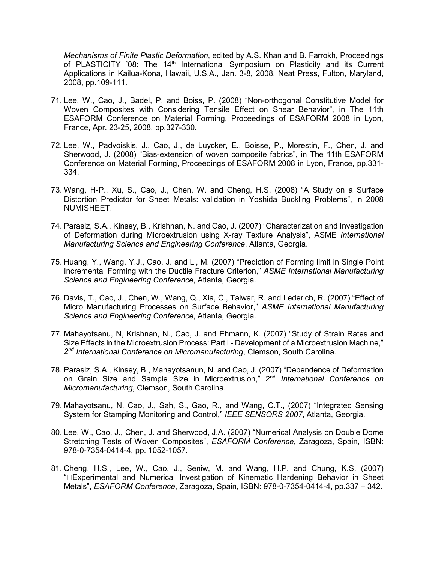*Mechanisms of Finite Plastic Deformation*, edited by A.S. Khan and B. Farrokh, Proceedings of PLASTICITY '08: The 14<sup>th</sup> International Symposium on Plasticity and its Current Applications in Kailua-Kona, Hawaii, U.S.A., Jan. 3-8, 2008, Neat Press, Fulton, Maryland, 2008, pp.109-111.

- 71. Lee, W., Cao, J., Badel, P. and Boiss, P. (2008) "Non-orthogonal Constitutive Model for Woven Composites with Considering Tensile Effect on Shear Behavior", in The 11th ESAFORM Conference on Material Forming, Proceedings of ESAFORM 2008 in Lyon, France, Apr. 23-25, 2008, pp.327-330.
- 72. Lee, W., Padvoiskis, J., Cao, J., de Luycker, E., Boisse, P., Morestin, F., Chen, J. and Sherwood, J. (2008) "Bias-extension of woven composite fabrics", in The 11th ESAFORM Conference on Material Forming, Proceedings of ESAFORM 2008 in Lyon, France, pp.331- 334.
- 73. Wang, H-P., Xu, S., Cao, J., Chen, W. and Cheng, H.S. (2008) "A Study on a Surface Distortion Predictor for Sheet Metals: validation in Yoshida Buckling Problems", in 2008 NUMISHEET.
- 74. Parasiz, S.A., Kinsey, B., Krishnan, N. and Cao, J. (2007) "Characterization and Investigation of Deformation during Microextrusion using X-ray Texture Analysis", ASME *International Manufacturing Science and Engineering Conference*, Atlanta, Georgia.
- 75. Huang, Y., Wang, Y.J., Cao, J. and Li, M. (2007) "Prediction of Forming limit in Single Point Incremental Forming with the Ductile Fracture Criterion," *ASME International Manufacturing Science and Engineering Conference*, Atlanta, Georgia.
- 76. Davis, T., Cao, J., Chen, W., Wang, Q., Xia, C., Talwar, R. and Lederich, R. (2007) "Effect of Micro Manufacturing Processes on Surface Behavior," *ASME International Manufacturing Science and Engineering Conference*, Atlanta, Georgia.
- 77. Mahayotsanu, N, Krishnan, N., Cao, J. and Ehmann, K. (2007) "Study of Strain Rates and Size Effects in the Microextrusion Process: Part I - Development of a Microextrusion Machine," *2nd International Conference on Micromanufacturing*, Clemson, South Carolina.
- 78. Parasiz, S.A., Kinsey, B., Mahayotsanun, N. and Cao, J. (2007) "Dependence of Deformation on Grain Size and Sample Size in Microextrusion," 2nd *International Conference on Micromanufacturing*, Clemson, South Carolina.
- 79. Mahayotsanu, N, Cao, J., Sah, S., Gao, R., and Wang, C.T., (2007) "Integrated Sensing System for Stamping Monitoring and Control," *IEEE SENSORS 2007*, Atlanta, Georgia.
- 80. Lee, W., Cao, J., Chen, J. and Sherwood, J.A. (2007) "Numerical Analysis on Double Dome Stretching Tests of Woven Composites", *ESAFORM Conference*, Zaragoza, Spain, ISBN: 978-0-7354-0414-4, pp. 1052-1057.
- 81. Cheng, H.S., Lee, W., Cao, J., Seniw, M. and Wang, H.P. and Chung, K.S. (2007) "Experimental and Numerical Investigation of Kinematic Hardening Behavior in Sheet Metals", *ESAFORM Conference*, Zaragoza, Spain, ISBN: 978-0-7354-0414-4, pp.337 – 342.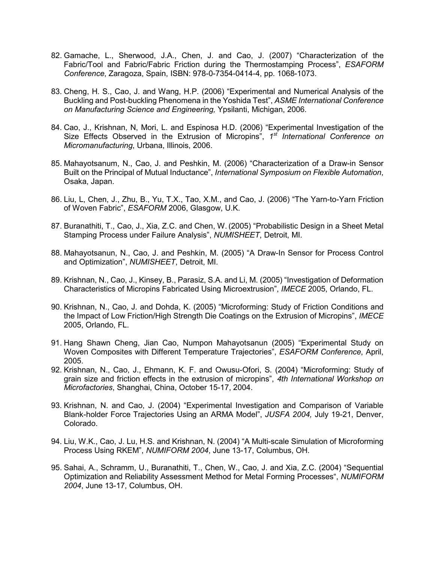- 82. Gamache, L., Sherwood, J.A., Chen, J. and Cao, J. (2007) "Characterization of the Fabric/Tool and Fabric/Fabric Friction during the Thermostamping Process", *ESAFORM Conference*, Zaragoza, Spain, ISBN: 978-0-7354-0414-4, pp. 1068-1073.
- 83. Cheng, H. S., Cao, J. and Wang, H.P. (2006) "Experimental and Numerical Analysis of the Buckling and Post-buckling Phenomena in the Yoshida Test", *ASME International Conference on Manufacturing Science and Engineering,* Ypsilanti, Michigan, 2006.
- 84. Cao, J., Krishnan, N, Mori, L. and Espinosa H.D. (2006) "Experimental Investigation of the Size Effects Observed in the Extrusion of Micropins", *1st International Conference on Micromanufacturing*, Urbana, Illinois, 2006.
- 85. Mahayotsanum, N., Cao, J. and Peshkin, M. (2006) "Characterization of a Draw-in Sensor Built on the Principal of Mutual Inductance", *International Symposium on Flexible Automation*, Osaka, Japan.
- 86. Liu, L, Chen, J., Zhu, B., Yu, T.X., Tao, X.M., and Cao, J. (2006) "The Yarn-to-Yarn Friction of Woven Fabric", *ESAFORM* 2006, Glasgow, U.K.
- 87. Buranathiti, T., Cao, J., Xia, Z.C. and Chen, W. (2005) "Probabilistic Design in a Sheet Metal Stamping Process under Failure Analysis", *NUMISHEET*, Detroit, MI.
- 88. Mahayotsanun, N., Cao, J. and Peshkin, M. (2005) "A Draw-In Sensor for Process Control and Optimization", *NUMISHEET*, Detroit, MI.
- 89. Krishnan, N., Cao, J., Kinsey, B., Parasiz, S.A. and Li, M. (2005) "Investigation of Deformation Characteristics of Micropins Fabricated Using Microextrusion", *IMECE* 2005, Orlando, FL.
- 90. Krishnan, N., Cao, J. and Dohda, K. (2005) "Microforming: Study of Friction Conditions and the Impact of Low Friction/High Strength Die Coatings on the Extrusion of Micropins", *IMECE* 2005, Orlando, FL.
- 91. Hang Shawn Cheng, Jian Cao, Numpon Mahayotsanun (2005) "Experimental Study on Woven Composites with Different Temperature Trajectories", *ESAFORM Conference*, April, 2005.
- 92. Krishnan, N., Cao, J., Ehmann, K. F. and Owusu-Ofori, S. (2004) "Microforming: Study of grain size and friction effects in the extrusion of micropins", *4th International Workshop on Microfactories*, Shanghai, China, October 15-17, 2004.
- 93. Krishnan, N. and Cao, J. (2004) "Experimental Investigation and Comparison of Variable Blank-holder Force Trajectories Using an ARMA Model", *JUSFA 2004,* July 19-21, Denver, Colorado.
- 94. Liu, W.K., Cao, J. Lu, H.S. and Krishnan, N. (2004) "A Multi-scale Simulation of Microforming Process Using RKEM", *NUMIFORM 2004*, June 13-17, Columbus, OH.
- 95. Sahai, A., Schramm, U., Buranathiti, T., Chen, W., Cao, J. and Xia, Z.C. (2004) "Sequential Optimization and Reliability Assessment Method for Metal Forming Processes", *NUMIFORM 2004*, June 13-17, Columbus, OH.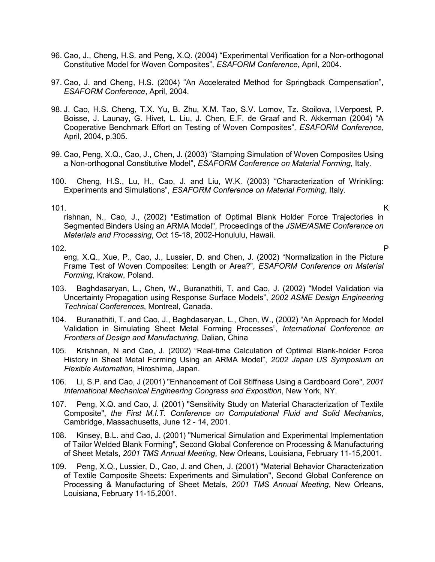- 96. Cao, J., Cheng, H.S. and Peng, X.Q. (2004) "Experimental Verification for a Non-orthogonal Constitutive Model for Woven Composites", *ESAFORM Conference*, April, 2004.
- 97. Cao, J. and Cheng, H.S. (2004) "An Accelerated Method for Springback Compensation", *ESAFORM Conference*, April, 2004.
- 98. J. Cao, H.S. Cheng, T.X. Yu, B. Zhu, X.M. Tao, S.V. Lomov, Tz. Stoilova, I.Verpoest, P. Boisse, J. Launay, G. Hivet, L. Liu, J. Chen, E.F. de Graaf and R. Akkerman (2004) "A Cooperative Benchmark Effort on Testing of Woven Composites"*, ESAFORM Conference,*  April*,* 2004, p.305.
- 99. Cao, Peng, X.Q., Cao, J., Chen, J. (2003) "Stamping Simulation of Woven Composites Using a Non-orthogonal Constitutive Model", *ESAFORM Conference on Material Forming*, Italy.
- 100. Cheng, H.S., Lu, H., Cao, J. and Liu, W.K. (2003) "Characterization of Wrinkling: Experiments and Simulations", *ESAFORM Conference on Material Forming*, Italy.

101. K rishnan, N., Cao, J., (2002) "Estimation of Optimal Blank Holder Force Trajectories in Segmented Binders Using an ARMA Model", Proceedings of the *JSME/ASME Conference on Materials and Processing*, Oct 15-18, 2002-Honululu, Hawaii.

102. P eng, X.Q., Xue, P., Cao, J., Lussier, D. and Chen, J. (2002) "Normalization in the Picture Frame Test of Woven Composites: Length or Area?", *ESAFORM Conference on Material Forming*, Krakow, Poland.

- 103. Baghdasaryan, L., Chen, W., Buranathiti, T. and Cao, J. (2002) "Model Validation via Uncertainty Propagation using Response Surface Models", *2002 ASME Design Engineering Technical Conferences*, Montreal, Canada.
- 104. Buranathiti, T. and Cao, J., Baghdasaryan, L., Chen, W., (2002) "An Approach for Model Validation in Simulating Sheet Metal Forming Processes", *International Conference on Frontiers of Design and Manufacturing*, Dalian, China
- 105. Krishnan, N and Cao, J. (2002) "Real-time Calculation of Optimal Blank-holder Force History in Sheet Metal Forming Using an ARMA Model", *2002 Japan US Symposium on Flexible Automation*, Hiroshima, Japan.
- 106. Li, S.P. and Cao, J (2001) "Enhancement of Coil Stiffness Using a Cardboard Core", *2001 International Mechanical Engineering Congress and Exposition*, New York, NY.
- 107. Peng, X.Q. and Cao, J. (2001) "Sensitivity Study on Material Characterization of Textile Composite", *the First M.I.T. Conference on Computational Fluid and Solid Mechanics*, Cambridge, Massachusetts, June 12 - 14, 2001.
- 108. Kinsey, B.L. and Cao, J. (2001) "Numerical Simulation and Experimental Implementation of Tailor Welded Blank Forming", Second Global Conference on Processing & Manufacturing of Sheet Metals, *2001 TMS Annual Meeting*, New Orleans, Louisiana, February 11-15,2001.
- 109. Peng, X.Q., Lussier, D., Cao, J. and Chen, J. (2001) "Material Behavior Characterization of Textile Composite Sheets: Experiments and Simulation", Second Global Conference on Processing & Manufacturing of Sheet Metals, *2001 TMS Annual Meeting*, New Orleans, Louisiana, February 11-15,2001.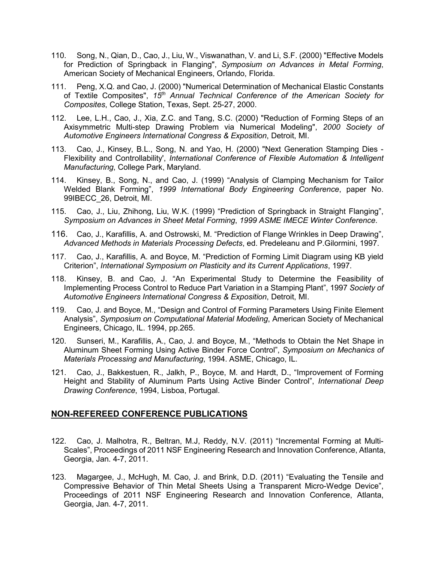- 110. Song, N., Qian, D., Cao, J., Liu, W., Viswanathan, V. and Li, S.F. (2000) "Effective Models for Prediction of Springback in Flanging", *Symposium on Advances in Metal Forming*, American Society of Mechanical Engineers, Orlando, Florida.
- 111. Peng, X.Q. and Cao, J. (2000) "Numerical Determination of Mechanical Elastic Constants of Textile Composites", *15th Annual Technical Conference of the American Society for Composites*, College Station, Texas, Sept. 25-27, 2000.
- 112. Lee, L.H., Cao, J., Xia, Z.C. and Tang, S.C. (2000) "Reduction of Forming Steps of an Axisymmetric Multi-step Drawing Problem via Numerical Modeling", *2000 Society of Automotive Engineers International Congress & Exposition*, Detroit, MI.
- 113. Cao, J., Kinsey, B.L., Song, N. and Yao, H. (2000) "Next Generation Stamping Dies Flexibility and Controllability', *International Conference of Flexible Automation & Intelligent Manufacturing*, College Park, Maryland.
- 114. Kinsey, B., Song, N., and Cao, J. (1999) "Analysis of Clamping Mechanism for Tailor Welded Blank Forming", *1999 International Body Engineering Conference*, paper No. 99IBECC\_26, Detroit, MI.
- 115. Cao, J., Liu, Zhihong, Liu, W.K. (1999) "Prediction of Springback in Straight Flanging", *Symposium on Advances in Sheet Metal Forming*, *1999 ASME IMECE Winter Conference*.
- 116. Cao, J., Karafillis, A. and Ostrowski, M. "Prediction of Flange Wrinkles in Deep Drawing", *Advanced Methods in Materials Processing Defects*, ed. Predeleanu and P.Gilormini, 1997.
- 117. Cao, J., Karafillis, A. and Boyce, M. "Prediction of Forming Limit Diagram using KB yield Criterion", *International Symposium on Plasticity and its Current Applications*, 1997.
- 118. Kinsey, B. and Cao, J. "An Experimental Study to Determine the Feasibility of Implementing Process Control to Reduce Part Variation in a Stamping Plant", 1997 *Society of Automotive Engineers International Congress & Exposition*, Detroit, MI.
- 119. Cao, J. and Boyce, M., "Design and Control of Forming Parameters Using Finite Element Analysis", *Symposium on Computational Material Modeling*, American Society of Mechanical Engineers, Chicago, IL. 1994, pp.265.
- 120. Sunseri, M., Karafillis, A., Cao, J. and Boyce, M., "Methods to Obtain the Net Shape in Aluminum Sheet Forming Using Active Binder Force Control", *Symposium on Mechanics of Materials Processing and Manufacturing*, 1994. ASME, Chicago, IL.
- 121. Cao, J., Bakkestuen, R., Jalkh, P., Boyce, M. and Hardt, D., "Improvement of Forming Height and Stability of Aluminum Parts Using Active Binder Control", *International Deep Drawing Conference*, 1994, Lisboa, Portugal.

### **NON-REFEREED CONFERENCE PUBLICATIONS**

- 122. Cao, J. Malhotra, R., Beltran, M.J, Reddy, N.V. (2011) "Incremental Forming at Multi-Scales", Proceedings of 2011 NSF Engineering Research and Innovation Conference, Atlanta, Georgia, Jan. 4-7, 2011.
- 123. Magargee, J., McHugh, M. Cao, J. and Brink, D.D. (2011) "Evaluating the Tensile and Compressive Behavior of Thin Metal Sheets Using a Transparent Micro-Wedge Device", Proceedings of 2011 NSF Engineering Research and Innovation Conference, Atlanta, Georgia, Jan. 4-7, 2011.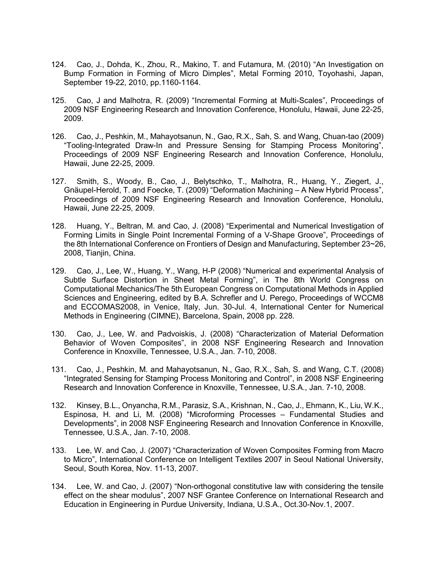- 124. Cao, J., Dohda, K., Zhou, R., Makino, T. and Futamura, M. (2010) "An Investigation on Bump Formation in Forming of Micro Dimples", Metal Forming 2010, Toyohashi, Japan, September 19-22, 2010, pp.1160-1164.
- 125. Cao, J and Malhotra, R. (2009) "Incremental Forming at Multi-Scales", Proceedings of 2009 NSF Engineering Research and Innovation Conference, Honolulu, Hawaii, June 22-25, 2009.
- 126. Cao, J., Peshkin, M., Mahayotsanun, N., Gao, R.X., Sah, S. and Wang, Chuan-tao (2009) "Tooling-Integrated Draw-In and Pressure Sensing for Stamping Process Monitoring", Proceedings of 2009 NSF Engineering Research and Innovation Conference, Honolulu, Hawaii, June 22-25, 2009.
- 127. Smith, S., Woody, B., Cao, J., Belytschko, T., Malhotra, R., Huang, Y., Ziegert, J., Gnäupel-Herold, T. and Foecke, T. (2009) "Deformation Machining – A New Hybrid Process", Proceedings of 2009 NSF Engineering Research and Innovation Conference, Honolulu, Hawaii, June 22-25, 2009.
- 128. Huang, Y., Beltran, M. and Cao, J. (2008) "Experimental and Numerical Investigation of Forming Limits in Single Point Incremental Forming of a V-Shape Groove", Proceedings of the 8th International Conference on Frontiers of Design and Manufacturing, September 23~26, 2008, Tianjin, China.
- 129. Cao, J., Lee, W., Huang, Y., Wang, H-P (2008) "Numerical and experimental Analysis of Subtle Surface Distortion in Sheet Metal Forming", in The 8th World Congress on Computational Mechanics/The 5th European Congress on Computational Methods in Applied Sciences and Engineering, edited by B.A. Schrefler and U. Perego, Proceedings of WCCM8 and ECCOMAS2008, in Venice, Italy, Jun. 30-Jul. 4, International Center for Numerical Methods in Engineering (CIMNE), Barcelona, Spain, 2008 pp. 228.
- 130. Cao, J., Lee, W. and Padvoiskis, J. (2008) "Characterization of Material Deformation Behavior of Woven Composites", in 2008 NSF Engineering Research and Innovation Conference in Knoxville, Tennessee, U.S.A., Jan. 7-10, 2008.
- 131. Cao, J., Peshkin, M. and Mahayotsanun, N., Gao, R.X., Sah, S. and Wang, C.T. (2008) "Integrated Sensing for Stamping Process Monitoring and Control", in 2008 NSF Engineering Research and Innovation Conference in Knoxville, Tennessee, U.S.A., Jan. 7-10, 2008.
- 132. Kinsey, B.L., Onyancha, R.M., Parasiz, S.A., Krishnan, N., Cao, J., Ehmann, K., Liu, W.K., Espinosa, H. and Li, M. (2008) "Microforming Processes – Fundamental Studies and Developments", in 2008 NSF Engineering Research and Innovation Conference in Knoxville, Tennessee, U.S.A., Jan. 7-10, 2008.
- 133. Lee, W. and Cao, J. (2007) "Characterization of Woven Composites Forming from Macro to Micro", International Conference on Intelligent Textiles 2007 in Seoul National University, Seoul, South Korea, Nov. 11-13, 2007.
- 134. Lee, W. and Cao, J. (2007) "Non-orthogonal constitutive law with considering the tensile effect on the shear modulus", 2007 NSF Grantee Conference on International Research and Education in Engineering in Purdue University, Indiana, U.S.A., Oct.30-Nov.1, 2007.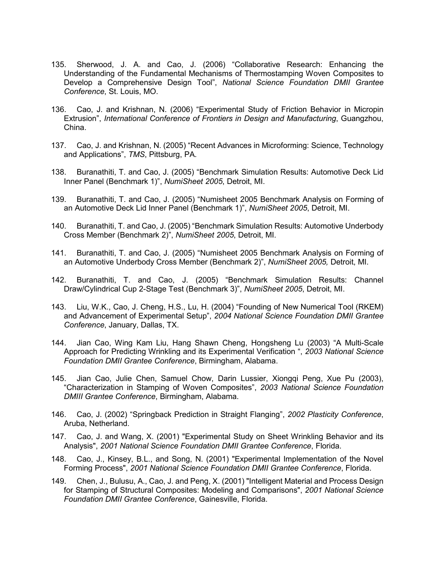- 135. Sherwood, J. A. and Cao, J. (2006) "Collaborative Research: Enhancing the Understanding of the Fundamental Mechanisms of Thermostamping Woven Composites to Develop a Comprehensive Design Tool", *National Science Foundation DMII Grantee Conference*, St. Louis, MO.
- 136. Cao, J. and Krishnan, N. (2006) "Experimental Study of Friction Behavior in Micropin Extrusion", *International Conference of Frontiers in Design and Manufacturing*, Guangzhou, China.
- 137. Cao, J. and Krishnan, N. (2005) "Recent Advances in Microforming: Science, Technology and Applications", *TMS*, Pittsburg, PA.
- 138. Buranathiti, T. and Cao, J. (2005) "Benchmark Simulation Results: Automotive Deck Lid Inner Panel (Benchmark 1)", *NumiSheet 2005*, Detroit, MI.
- 139. Buranathiti, T. and Cao, J. (2005) "Numisheet 2005 Benchmark Analysis on Forming of an Automotive Deck Lid Inner Panel (Benchmark 1)", *NumiSheet 2005*, Detroit, MI.
- 140. Buranathiti, T. and Cao, J. (2005) "Benchmark Simulation Results: Automotive Underbody Cross Member (Benchmark 2)", *NumiSheet 2005*, Detroit, MI.
- 141. Buranathiti, T. and Cao, J. (2005) "Numisheet 2005 Benchmark Analysis on Forming of an Automotive Underbody Cross Member (Benchmark 2)", *NumiSheet 2005,* Detroit, MI.
- 142. Buranathiti, T. and Cao, J. (2005) "Benchmark Simulation Results: Channel Draw/Cylindrical Cup 2-Stage Test (Benchmark 3)", *NumiSheet 2005*, Detroit, MI.
- 143. Liu, W.K., Cao, J. Cheng, H.S., Lu, H. (2004) "Founding of New Numerical Tool (RKEM) and Advancement of Experimental Setup", *2004 National Science Foundation DMII Grantee Conference*, January, Dallas, TX.
- 144. Jian Cao, Wing Kam Liu, Hang Shawn Cheng, Hongsheng Lu (2003) "A Multi-Scale Approach for Predicting Wrinkling and its Experimental Verification ", *2003 National Science Foundation DMII Grantee Conference*, Birmingham, Alabama.
- 145. Jian Cao, Julie Chen, Samuel Chow, Darin Lussier, Xiongqi Peng, Xue Pu (2003), "Characterization in Stamping of Woven Composites", *2003 National Science Foundation DMIII Grantee Conference*, Birmingham, Alabama.
- 146. Cao, J. (2002) "Springback Prediction in Straight Flanging", *2002 Plasticity Conference*, Aruba, Netherland.
- 147. Cao, J. and Wang, X. (2001) "Experimental Study on Sheet Wrinkling Behavior and its Analysis", *2001 National Science Foundation DMII Grantee Conference*, Florida.
- 148. Cao, J., Kinsey, B.L., and Song, N. (2001) "Experimental Implementation of the Novel Forming Process", *2001 National Science Foundation DMII Grantee Conference*, Florida.
- 149. Chen, J., Bulusu, A., Cao, J. and Peng, X. (2001) "Intelligent Material and Process Design for Stamping of Structural Composites: Modeling and Comparisons", *2001 National Science Foundation DMII Grantee Conference*, Gainesville, Florida.